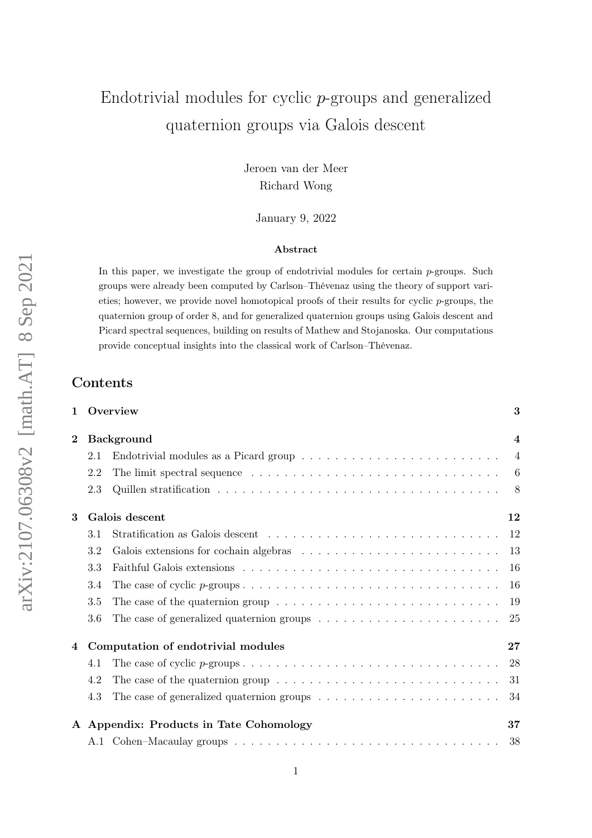# Endotrivial modules for cyclic p-groups and generalized quaternion groups via Galois descent

Jeroen van der Meer Richard Wong

January 9, 2022

#### Abstract

In this paper, we investigate the group of endotrivial modules for certain p-groups. Such groups were already been computed by Carlson–Thévenaz using the theory of support varieties; however, we provide novel homotopical proofs of their results for cyclic  $p$ -groups, the quaternion group of order 8, and for generalized quaternion groups using Galois descent and Picard spectral sequences, building on results of Mathew and Stojanoska. Our computations provide conceptual insights into the classical work of Carlson–Thévenaz.

1 Overview [3](#page-2-0)

# Contents

| $\overline{2}$ |     | <b>Background</b>                                                                                          | $\overline{4}$ |
|----------------|-----|------------------------------------------------------------------------------------------------------------|----------------|
|                | 2.1 |                                                                                                            | $\overline{4}$ |
|                | 2.2 |                                                                                                            | 6              |
|                | 2.3 |                                                                                                            | - 8            |
| 3              |     | Galois descent                                                                                             | 12             |
|                | 3.1 |                                                                                                            |                |
|                | 3.2 |                                                                                                            |                |
|                | 3.3 |                                                                                                            |                |
|                | 3.4 |                                                                                                            | <b>16</b>      |
|                | 3.5 | The case of the quaternion group $\ldots \ldots \ldots \ldots \ldots \ldots \ldots \ldots \ldots$          | 19             |
|                | 3.6 | The case of generalized quaternion groups $\dots \dots \dots \dots \dots \dots \dots \dots \dots \dots$ 25 |                |
| 4              |     | Computation of endotrivial modules                                                                         | 27             |
|                | 4.1 |                                                                                                            |                |
|                | 4.2 | The case of the quaternion group $\dots \dots \dots \dots \dots \dots \dots \dots \dots \dots \dots$       | -31            |
|                | 4.3 | The case of generalized quaternion groups $\ldots \ldots \ldots \ldots \ldots \ldots \ldots$ .             |                |
|                |     | A Appendix: Products in Tate Cohomology                                                                    | 37             |
|                |     |                                                                                                            | 38             |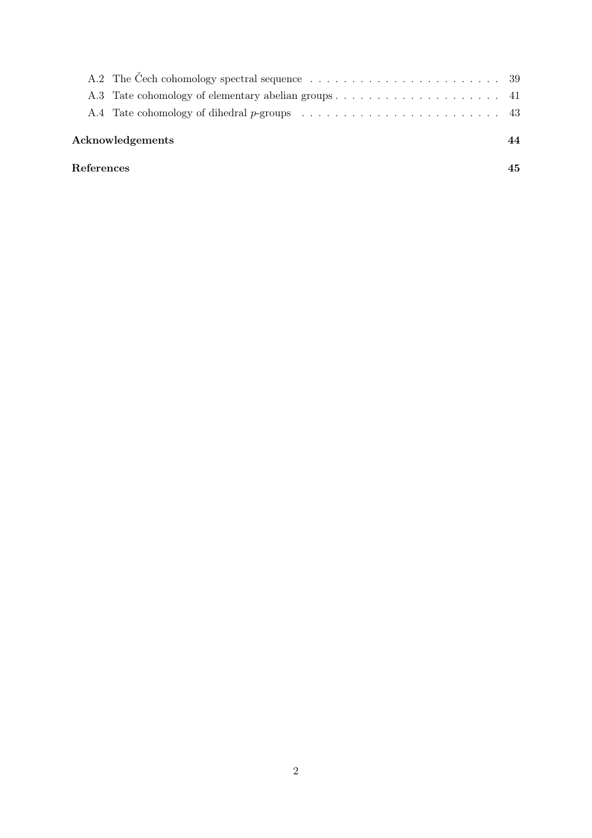| References       |  | 45 |
|------------------|--|----|
| Acknowledgements |  |    |
|                  |  |    |
|                  |  |    |
|                  |  |    |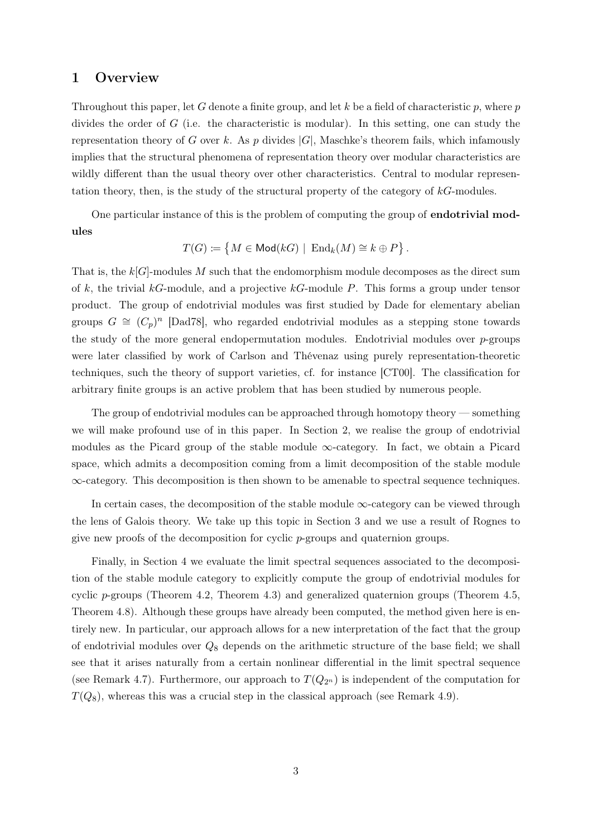# <span id="page-2-0"></span>1 Overview

Throughout this paper, let G denote a finite group, and let  $k$  be a field of characteristic p, where p divides the order of G (i.e. the characteristic is modular). In this setting, one can study the representation theory of G over k. As p divides  $|G|$ , Maschke's theorem fails, which infamously implies that the structural phenomena of representation theory over modular characteristics are wildly different than the usual theory over other characteristics. Central to modular representation theory, then, is the study of the structural property of the category of  $k$ -modules.

One particular instance of this is the problem of computing the group of endotrivial modules

$$
T(G) \coloneqq \{ M \in \mathsf{Mod}(kG) \mid \mathrm{End}_k(M) \cong k \oplus P \}.
$$

That is, the  $k[G]$ -modules M such that the endomorphism module decomposes as the direct sum of k, the trivial kG-module, and a projective  $k$ G-module P. This forms a group under tensor product. The group of endotrivial modules was first studied by Dade for elementary abelian groups  $G \cong (C_p)^n$  [\[Dad78\]](#page-44-0), who regarded endotrivial modules as a stepping stone towards the study of the more general endopermutation modules. Endotrivial modules over  $p$ -groups were later classified by work of Carlson and Thévenaz using purely representation-theoretic techniques, such the theory of support varieties, cf. for instance [\[CT00\]](#page-44-1). The classification for arbitrary finite groups is an active problem that has been studied by numerous people.

The group of endotrivial modules can be approached through homotopy theory — something we will make profound use of in this paper. In Section [2,](#page-3-0) we realise the group of endotrivial modules as the Picard group of the stable module ∞-category. In fact, we obtain a Picard space, which admits a decomposition coming from a limit decomposition of the stable module ∞-category. This decomposition is then shown to be amenable to spectral sequence techniques.

In certain cases, the decomposition of the stable module  $\infty$ -category can be viewed through the lens of Galois theory. We take up this topic in Section [3](#page-11-0) and we use a result of Rognes to give new proofs of the decomposition for cyclic p-groups and quaternion groups.

Finally, in Section [4](#page-26-0) we evaluate the limit spectral sequences associated to the decomposition of the stable module category to explicitly compute the group of endotrivial modules for cyclic p-groups (Theorem [4.2,](#page-27-1) Theorem [4.3\)](#page-29-0) and generalized quaternion groups (Theorem [4.5,](#page-33-1) Theorem [4.8\)](#page-35-0). Although these groups have already been computed, the method given here is entirely new. In particular, our approach allows for a new interpretation of the fact that the group of endotrivial modules over  $Q_8$  depends on the arithmetic structure of the base field; we shall see that it arises naturally from a certain nonlinear differential in the limit spectral sequence (see Remark [4.7\)](#page-33-2). Furthermore, our approach to  $T(Q_{2^n})$  is independent of the computation for  $T(Q_8)$ , whereas this was a crucial step in the classical approach (see Remark [4.9\)](#page-35-1).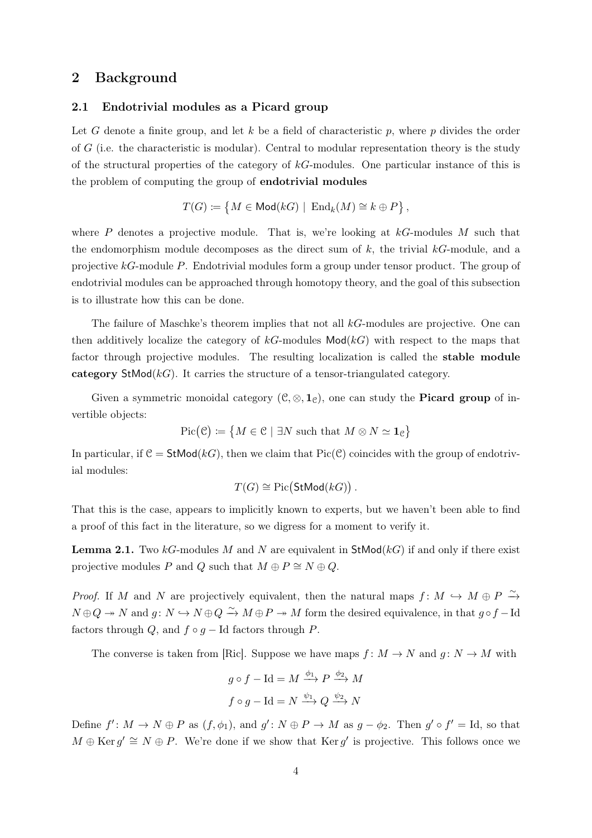# <span id="page-3-0"></span>2 Background

#### <span id="page-3-1"></span>2.1 Endotrivial modules as a Picard group

Let G denote a finite group, and let k be a field of characteristic p, where p divides the order of G (i.e. the characteristic is modular). Central to modular representation theory is the study of the structural properties of the category of  $k$ -modules. One particular instance of this is the problem of computing the group of endotrivial modules

$$
T(G) \coloneqq \{ M \in \mathsf{Mod}(kG) \mid \mathrm{End}_k(M) \cong k \oplus P \},
$$

where P denotes a projective module. That is, we're looking at  $kG$ -modules M such that the endomorphism module decomposes as the direct sum of  $k$ , the trivial  $k$ -module, and a projective kG-module P. Endotrivial modules form a group under tensor product. The group of endotrivial modules can be approached through homotopy theory, and the goal of this subsection is to illustrate how this can be done.

The failure of Maschke's theorem implies that not all kG-modules are projective. One can then additively localize the category of  $k$ -modules Mod $(k)$  with respect to the maps that factor through projective modules. The resulting localization is called the stable module category  $\text{StMod}(k)$ . It carries the structure of a tensor-triangulated category.

Given a symmetric monoidal category  $(\mathcal{C}, \otimes, \mathbf{1}_{\mathcal{C}})$ , one can study the **Picard group** of invertible objects:

$$
\operatorname{Pic}(\mathcal{C}) \coloneqq \{ M \in \mathcal{C} \mid \exists N \text{ such that } M \otimes N \simeq \mathbf{1}_{\mathcal{C}} \}
$$

In particular, if  $C = StMod(kG)$ , then we claim that Pic(C) coincides with the group of endotrivial modules:

$$
T(G) \cong Pic(\mathsf{StMod}(kG)).
$$

That this is the case, appears to implicitly known to experts, but we haven't been able to find a proof of this fact in the literature, so we digress for a moment to verify it.

**Lemma 2.1.** Two kG-modules M and N are equivalent in  $\text{StMod}(k)$  if and only if there exist projective modules P and Q such that  $M \oplus P \cong N \oplus Q$ .

*Proof.* If M and N are projectively equivalent, then the natural maps  $f: M \hookrightarrow M \oplus P \xrightarrow{\sim}$  $N \oplus Q \twoheadrightarrow N$  and  $g: N \hookrightarrow N \oplus Q \xrightarrow{\sim} M \oplus P \twoheadrightarrow M$  form the desired equivalence, in that  $g \circ f - \text{Id}$ factors through Q, and  $f \circ g - \text{Id}$  factors through P.

The converse is taken from [\[Ric\]](#page-45-0). Suppose we have maps  $f: M \to N$  and  $g: N \to M$  with

$$
g \circ f - \text{Id} = M \xrightarrow{\phi_1} P \xrightarrow{\phi_2} M
$$

$$
f \circ g - \text{Id} = N \xrightarrow{\psi_1} Q \xrightarrow{\psi_2} N
$$

Define  $f' : M \to N \oplus P$  as  $(f, \phi_1)$ , and  $g' : N \oplus P \to M$  as  $g - \phi_2$ . Then  $g' \circ f' = \text{Id}$ , so that  $M \oplus \text{Ker } g' \cong N \oplus P$ . We're done if we show that  $\text{Ker } g'$  is projective. This follows once we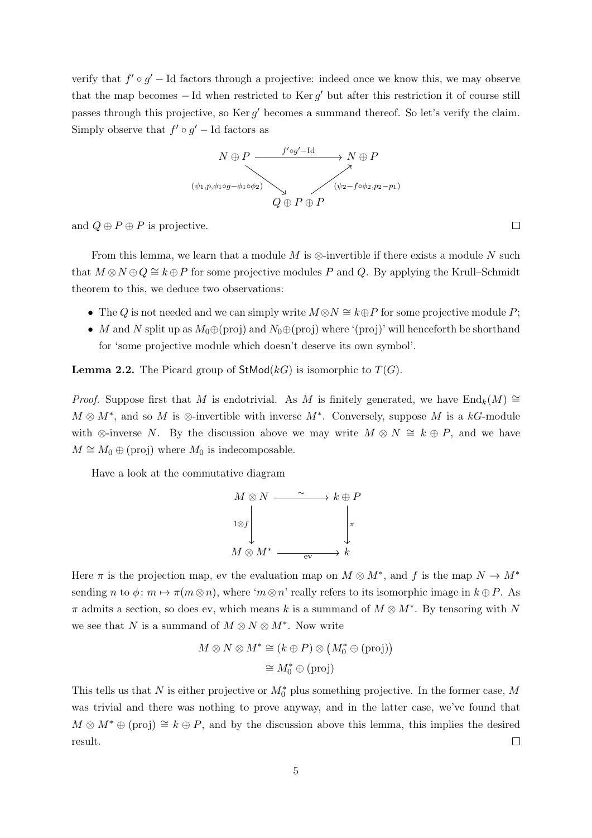verify that  $f' \circ g'$  – Id factors through a projective: indeed once we know this, we may observe that the map becomes  $-$  Id when restricted to Ker  $g'$  but after this restriction it of course still passes through this projective, so Ker  $g'$  becomes a summand thereof. So let's verify the claim. Simply observe that  $f' \circ g'$  – Id factors as



and  $Q \oplus P \oplus P$  is projective.

From this lemma, we learn that a module M is  $\otimes$ -invertible if there exists a module N such that  $M \otimes N \oplus Q \cong k \oplus P$  for some projective modules P and Q. By applying the Krull–Schmidt theorem to this, we deduce two observations:

- The Q is not needed and we can simply write  $M \otimes N \cong k \oplus P$  for some projective module P;
- M and N split up as  $M_0 \oplus (proj)$  and  $N_0 \oplus (proj)$  where '(proj)' will henceforth be shorthand for 'some projective module which doesn't deserve its own symbol'.

**Lemma 2.2.** The Picard group of  $\text{StMod}(k)$  is isomorphic to  $T(G)$ .

*Proof.* Suppose first that M is endotrivial. As M is finitely generated, we have  $\text{End}_k(M) \cong$  $M \otimes M^*$ , and so M is ⊗-invertible with inverse  $M^*$ . Conversely, suppose M is a kG-module with ⊗-inverse N. By the discussion above we may write  $M \otimes N \cong k \oplus P$ , and we have  $M \cong M_0 \oplus$  (proj) where  $M_0$  is indecomposable.

Have a look at the commutative diagram



Here  $\pi$  is the projection map, ev the evaluation map on  $M \otimes M^*$ , and f is the map  $N \to M^*$ sending n to  $\phi: m \mapsto \pi(m \otimes n)$ , where ' $m \otimes n$ ' really refers to its isomorphic image in  $k \oplus P$ . As  $\pi$  admits a section, so does ev, which means k is a summand of  $M \otimes M^*$ . By tensoring with N we see that N is a summand of  $M \otimes N \otimes M^*$ . Now write

$$
M \otimes N \otimes M^* \cong (k \oplus P) \otimes (M_0^* \oplus \text{(proj)})
$$
  

$$
\cong M_0^* \oplus \text{(proj)}
$$

This tells us that N is either projective or  $M_0^*$  plus something projective. In the former case, M was trivial and there was nothing to prove anyway, and in the latter case, we've found that  $M \otimes M^* \oplus (proj) \cong k \oplus P$ , and by the discussion above this lemma, this implies the desired result.  $\Box$ 

 $\Box$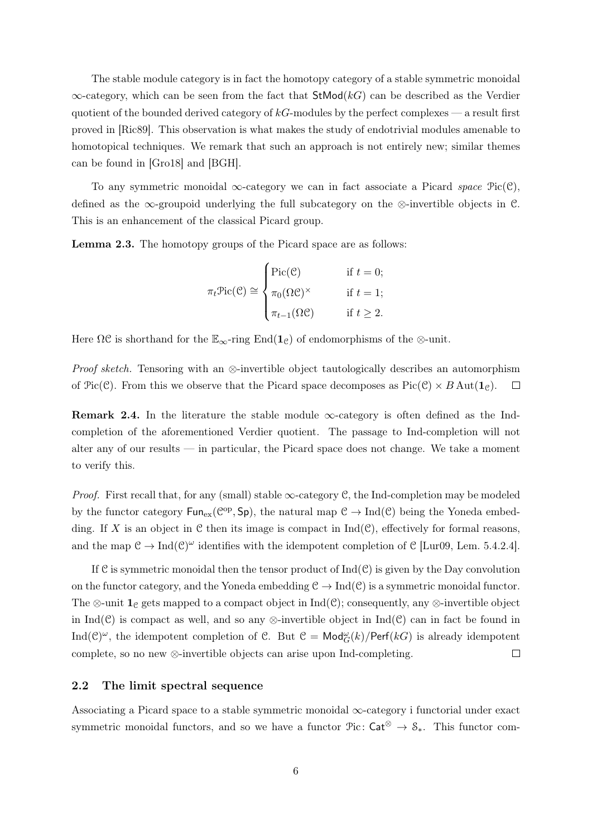The stable module category is in fact the homotopy category of a stable symmetric monoidal  $\infty$ -category, which can be seen from the fact that  $\text{StMod}(k)$  can be described as the Verdier quotient of the bounded derived category of  $k$ G-modules by the perfect complexes — a result first proved in [\[Ric89\]](#page-45-1). This observation is what makes the study of endotrivial modules amenable to homotopical techniques. We remark that such an approach is not entirely new; similar themes can be found in [\[Gro18\]](#page-44-2) and [\[BGH\]](#page-44-3).

To any symmetric monoidal  $\infty$ -category we can in fact associate a Picard space  $Pic(\mathcal{C})$ , defined as the ∞-groupoid underlying the full subcategory on the ⊗-invertible objects in  $\mathcal{C}$ . This is an enhancement of the classical Picard group.

<span id="page-5-1"></span>Lemma 2.3. The homotopy groups of the Picard space are as follows:

$$
\pi_t \text{Pic}(\mathcal{C}) \cong \begin{cases} \text{Pic}(\mathcal{C}) & \text{if } t = 0; \\ \pi_0(\Omega \mathcal{C})^\times & \text{if } t = 1; \\ \pi_{t-1}(\Omega \mathcal{C}) & \text{if } t \ge 2. \end{cases}
$$

Here  $\Omega \mathcal{C}$  is shorthand for the  $\mathbb{E}_{\infty}$ -ring End $(\mathbf{1}_{\mathcal{C}})$  of endomorphisms of the  $\otimes$ -unit.

*Proof sketch.* Tensoring with an ⊗-invertible object tautologically describes an automorphism of  $\text{Pic}(\mathcal{C})$ . From this we observe that the Picard space decomposes as  $\text{Pic}(\mathcal{C}) \times B \text{Aut}(\mathbf{1}_{\mathcal{C}})$ .  $\Box$ 

**Remark 2.4.** In the literature the stable module  $\infty$ -category is often defined as the Indcompletion of the aforementioned Verdier quotient. The passage to Ind-completion will not alter any of our results — in particular, the Picard space does not change. We take a moment to verify this.

*Proof.* First recall that, for any (small) stable  $\infty$ -category C, the Ind-completion may be modeled by the functor category  $\text{Fun}_{ex}(\mathcal{C}^{op}, \text{Sp})$ , the natural map  $\mathcal{C} \to \text{Ind}(\mathcal{C})$  being the Yoneda embedding. If X is an object in  $\mathfrak C$  then its image is compact in  $\mathrm{Ind}(\mathfrak C)$ , effectively for formal reasons, and the map  $C \to \text{Ind}(C)^\omega$  identifies with the idempotent completion of C [\[Lur09,](#page-44-4) Lem. 5.4.2.4].

If C is symmetric monoidal then the tensor product of  $Ind(C)$  is given by the Day convolution on the functor category, and the Yoneda embedding  $\mathcal{C} \to \text{Ind}(\mathcal{C})$  is a symmetric monoidal functor. The ⊗-unit  $\mathbf{1}_{\mathcal{C}}$  gets mapped to a compact object in Ind( $\mathcal{C}$ ); consequently, any  $\otimes$ -invertible object in Ind(C) is compact as well, and so any ⊗-invertible object in Ind(C) can in fact be found in Ind( $\mathcal{C}$ )<sup> $\omega$ </sup>, the idempotent completion of  $\mathcal{C}$ . But  $\mathcal{C} = \mathsf{Mod}_{G}^{\omega}(k)/\mathsf{Perf}(k)$  is already idempotent complete, so no new ⊗-invertible objects can arise upon Ind-completing.  $\Box$ 

#### <span id="page-5-0"></span>2.2 The limit spectral sequence

Associating a Picard space to a stable symmetric monoidal ∞-category i functorial under exact symmetric monoidal functors, and so we have a functor  $\mathcal{P}$ ic: Cat<sup>⊗</sup> → S<sub>\*</sub>. This functor com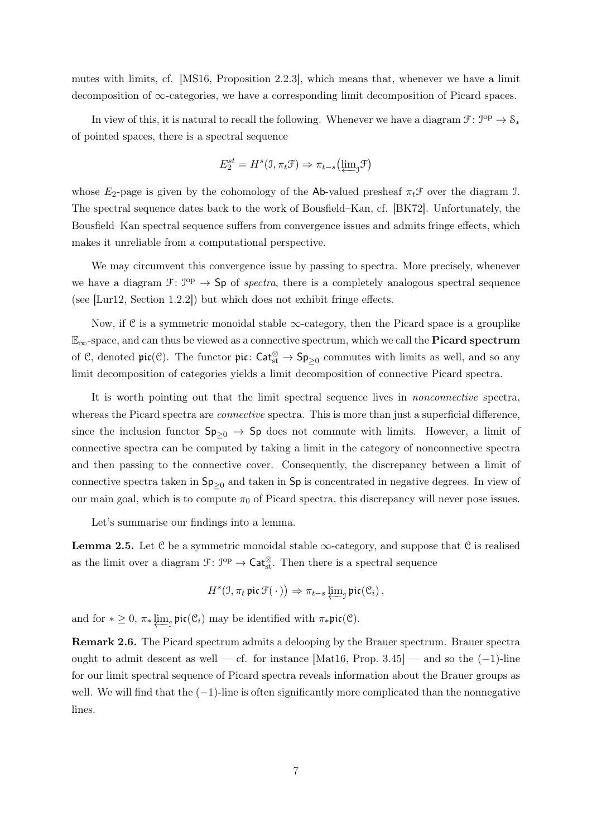mutes with limits, cf. [\[MS16,](#page-44-5) Proposition 2.2.3], which means that, whenever we have a limit decomposition of  $\infty$ -categories, we have a corresponding limit decomposition of Picard spaces.

In view of this, it is natural to recall the following. Whenever we have a diagram  $\mathcal{F} \colon \mathcal{I}^{op} \to \mathcal{S}_{*}$ of pointed spaces, there is a spectral sequence

$$
E_2^{st} = H^s(1, \pi_t \mathcal{F}) \Rightarrow \pi_{t-s}(\underleftarrow{\lim}_{j} \mathcal{F})
$$

whose  $E_2$ -page is given by the cohomology of the Ab-valued presheaf  $\pi_t \mathcal{F}$  over the diagram J. The spectral sequence dates back to the work of Bousfield–Kan, cf. [\[BK72\]](#page-44-6). Unfortunately, the Bousfield–Kan spectral sequence suffers from convergence issues and admits fringe effects, which makes it unreliable from a computational perspective.

We may circumvent this convergence issue by passing to spectra. More precisely, whenever we have a diagram  $\mathcal{F}: \mathcal{I}^{op} \to \mathsf{Sp}$  of spectra, there is a completely analogous spectral sequence (see [\[Lur12,](#page-44-7) Section 1.2.2]) but which does not exhibit fringe effects.

Now, if C is a symmetric monoidal stable  $\infty$ -category, then the Picard space is a grouplike  $\mathbb{E}_{\infty}$ -space, and can thus be viewed as a connective spectrum, which we call the **Picard spectrum** of C, denoted  $\mathfrak{pic}(\mathcal{C})$ . The functor  $\mathfrak{pic} : \mathsf{Cat}_{st}^{\otimes} \to \mathsf{Sp}_{\geq 0}$  commutes with limits as well, and so any limit decomposition of categories yields a limit decomposition of connective Picard spectra.

It is worth pointing out that the limit spectral sequence lives in nonconnective spectra, whereas the Picard spectra are *connective* spectra. This is more than just a superficial difference, since the inclusion functor  $Sp_{\geq 0} \to Sp$  does not commute with limits. However, a limit of connective spectra can be computed by taking a limit in the category of nonconnective spectra and then passing to the connective cover. Consequently, the discrepancy between a limit of connective spectra taken in  $Sp_{\geq 0}$  and taken in Sp is concentrated in negative degrees. In view of our main goal, which is to compute  $\pi_0$  of Picard spectra, this discrepancy will never pose issues.

Let's summarise our findings into a lemma.

<span id="page-6-0"></span>**Lemma 2.5.** Let C be a symmetric monoidal stable  $\infty$ -category, and suppose that C is realised as the limit over a diagram  $\mathcal{F}: \mathcal{I}^{op} \to \mathsf{Cat}_{st}^{\otimes}$ . Then there is a spectral sequence

$$
H^s(\mathfrak{I}, \pi_t \mathfrak{pic}\,\mathfrak{F}(\,\cdot\,)) \Rightarrow \pi_{t-s} \varprojlim_{\mathfrak{I}} \mathfrak{pic}(\mathfrak{C}_i)\,,
$$

and for  $* \geq 0$ ,  $\pi_* \varprojlim_{\mathcal{I}} \mathfrak{pic}(\mathcal{C}_i)$  may be identified with  $\pi_* \mathfrak{pic}(\mathcal{C})$ .

Remark 2.6. The Picard spectrum admits a delooping by the Brauer spectrum. Brauer spectra ought to admit descent as well — cf. for instance [\[Mat16,](#page-44-8) Prop. 3.45] — and so the  $(-1)$ -line for our limit spectral sequence of Picard spectra reveals information about the Brauer groups as well. We will find that the  $(-1)$ -line is often significantly more complicated than the nonnegative lines.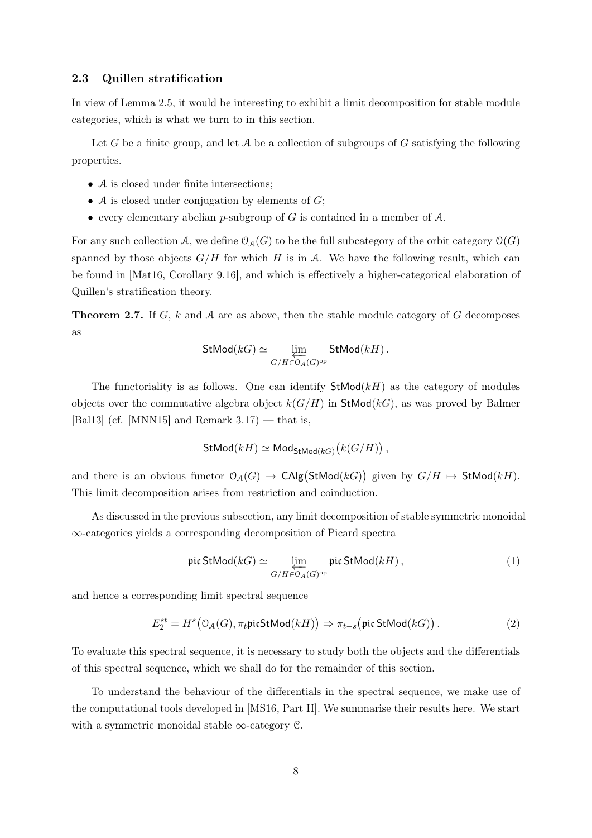#### <span id="page-7-0"></span>2.3 Quillen stratification

In view of Lemma [2.5,](#page-6-0) it would be interesting to exhibit a limit decomposition for stable module categories, which is what we turn to in this section.

Let G be a finite group, and let A be a collection of subgroups of G satisfying the following properties.

- A is closed under finite intersections;
- A is closed under conjugation by elements of  $G$ ;
- every elementary abelian p-subgroup of  $G$  is contained in a member of  $A$ .

For any such collection A, we define  $\mathcal{O}_{\mathcal{A}}(G)$  to be the full subcategory of the orbit category  $\mathcal{O}(G)$ spanned by those objects  $G/H$  for which H is in A. We have the following result, which can be found in [\[Mat16,](#page-44-8) Corollary 9.16], and which is effectively a higher-categorical elaboration of Quillen's stratification theory.

<span id="page-7-4"></span>**Theorem 2.7.** If G, k and A are as above, then the stable module category of G decomposes as

$$
\text{StMod}(kG) \simeq \varprojlim_{G/H \in \mathfrak{O}_A(G)^{\text{op}}} \text{StMod}(kH)\,.
$$

The functoriality is as follows. One can identify  $StMod(kH)$  as the category of modules objects over the commutative algebra object  $k(G/H)$  in StMod(kG), as was proved by Balmer [\[Bal13\]](#page-44-9) (cf. [\[MNN15\]](#page-44-10) and Remark  $3.17$ ) — that is,

<span id="page-7-1"></span>
$$
\textsf{StMod}(kH) \simeq \textsf{Mod}_{\textsf{StMod}(kG)}\bigl(k(G/H)\bigr) \,,
$$

and there is an obvious functor  $\mathcal{O}_{\mathcal{A}}(G) \to \mathsf{CAlg}(\mathsf{StMod}(kG))$  given by  $G/H \mapsto \mathsf{StMod}(kH)$ . This limit decomposition arises from restriction and coinduction.

As discussed in the previous subsection, any limit decomposition of stable symmetric monoidal ∞-categories yields a corresponding decomposition of Picard spectra

<span id="page-7-2"></span>
$$
\text{pic StMod}(k) \simeq \varprojlim_{G/H \in \mathfrak{O}_A(G)^{\text{op}}} \text{pic StMod}(kH),\tag{1}
$$

and hence a corresponding limit spectral sequence

$$
E_2^{st} = H^s\big(\mathcal{O}_{\mathcal{A}}(G), \pi_t \mathfrak{picStMod}(k) \big) \Rightarrow \pi_{t-s}\big(\mathfrak{pic StMod}(k) \big) \,.
$$
 (2)

To evaluate this spectral sequence, it is necessary to study both the objects and the differentials of this spectral sequence, which we shall do for the remainder of this section.

<span id="page-7-3"></span>To understand the behaviour of the differentials in the spectral sequence, we make use of the computational tools developed in [\[MS16,](#page-44-5) Part II]. We summarise their results here. We start with a symmetric monoidal stable  $\infty$ -category C.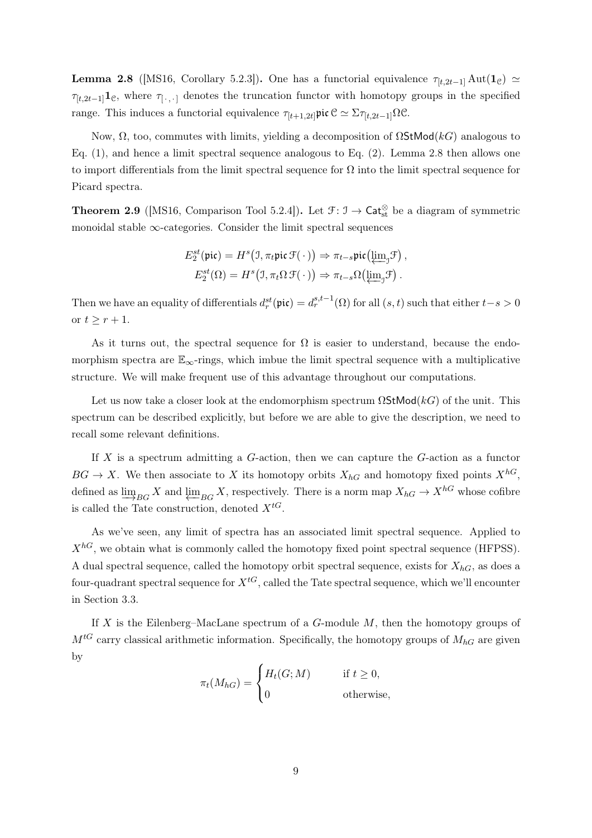**Lemma 2.8** ([\[MS16,](#page-44-5) Corollary 5.2.3]). One has a functorial equivalence  $\tau_{[t,2t-1]}$  Aut(1<sub>c</sub>)  $\simeq$  $\tau_{[t,2t-1]}$ 1<sub>C</sub>, where  $\tau_{[\cdot,\cdot]}$  denotes the truncation functor with homotopy groups in the specified range. This induces a functorial equivalence  $\tau_{[t+1,2t]}$ pic  $\mathcal{C} \simeq \Sigma \tau_{[t,2t-1]} \Omega \mathcal{C}$ .

Now,  $\Omega$ , too, commutes with limits, yielding a decomposition of  $\Omega$ StMod(kG) analogous to Eq. [\(1\)](#page-7-1), and hence a limit spectral sequence analogous to Eq. [\(2\)](#page-7-2). Lemma [2.8](#page-7-3) then allows one to import differentials from the limit spectral sequence for  $\Omega$  into the limit spectral sequence for Picard spectra.

<span id="page-8-0"></span>**Theorem 2.9** ([\[MS16,](#page-44-5) Comparison Tool 5.2.4]). Let  $\mathcal{F}: \mathcal{I} \to \mathsf{Cat}_{st}^{\otimes}$  be a diagram of symmetric monoidal stable  $\infty$ -categories. Consider the limit spectral sequences

$$
E_2^{st}(\text{pic}) = H^s\big(\mathfrak{I}, \pi_t \text{pic } \mathfrak{F}(\cdot)\big) \Rightarrow \pi_{t-s} \text{pic}\big(\underleftarrow{\lim}_{j} \mathfrak{F}\big),
$$

$$
E_2^{st}(\Omega) = H^s\big(\mathfrak{I}, \pi_t \Omega \mathfrak{F}(\cdot)\big) \Rightarrow \pi_{t-s} \Omega\big(\underleftarrow{\lim}_{j} \mathfrak{F}\big).
$$

Then we have an equality of differentials  $d_r^{st}(\text{pic}) = d_r^{s,t-1}(\Omega)$  for all  $(s, t)$  such that either  $t-s > 0$ or  $t \geq r + 1$ .

As it turns out, the spectral sequence for  $\Omega$  is easier to understand, because the endomorphism spectra are  $\mathbb{E}_{\infty}$ -rings, which imbue the limit spectral sequence with a multiplicative structure. We will make frequent use of this advantage throughout our computations.

Let us now take a closer look at the endomorphism spectrum  $\Omega$ StMod(kG) of the unit. This spectrum can be described explicitly, but before we are able to give the description, we need to recall some relevant definitions.

If  $X$  is a spectrum admitting a  $G$ -action, then we can capture the  $G$ -action as a functor  $BG \to X$ . We then associate to X its homotopy orbits  $X_{hG}$  and homotopy fixed points  $X^{hG}$ , defined as  $\varinjlim_{BG} X$  and  $\varprojlim_{BG} X$ , respectively. There is a norm map  $X_{hG} \to X^{hG}$  whose cofibre is called the Tate construction, denoted  $X^{tG}$ .

As we've seen, any limit of spectra has an associated limit spectral sequence. Applied to  $X^{hG}$ , we obtain what is commonly called the homotopy fixed point spectral sequence (HFPSS). A dual spectral sequence, called the homotopy orbit spectral sequence, exists for  $X_{hG}$ , as does a four-quadrant spectral sequence for  $X^{tG}$ , called the Tate spectral sequence, which we'll encounter in Section [3.3.](#page-15-0)

If X is the Eilenberg–MacLane spectrum of a  $G$ -module  $M$ , then the homotopy groups of  $M^{tG}$  carry classical arithmetic information. Specifically, the homotopy groups of  $M_{hG}$  are given by

$$
\pi_t(M_{hG}) = \begin{cases} H_t(G; M) & \text{if } t \ge 0, \\ 0 & \text{otherwise,} \end{cases}
$$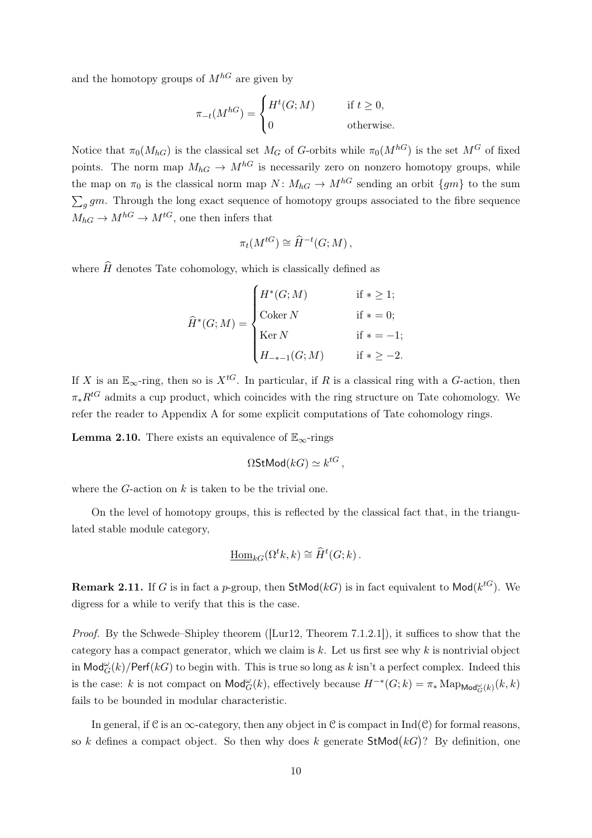and the homotopy groups of  $M^{hG}$  are given by

$$
\pi_{-t}(M^{hG}) = \begin{cases} H^t(G;M) & \text{if } t \ge 0, \\ 0 & \text{otherwise.} \end{cases}
$$

Notice that  $\pi_0(M_{hG})$  is the classical set  $M_G$  of G-orbits while  $\pi_0(M^{hG})$  is the set  $M^G$  of fixed points. The norm map  $M_{hG} \to M^{hG}$  is necessarily zero on nonzero homotopy groups, while the map on  $\pi_0$  is the classical norm map  $N: M_{hG} \to M^{hG}$  sending an orbit  $\{gm\}$  to the sum  $\sum_{g} gm$ . Through the long exact sequence of homotopy groups associated to the fibre sequence  $M_{hG} \to M^{hG} \to M^{tG}$ , one then infers that

$$
\pi_t(M^{tG}) \cong \widehat{H}^{-t}(G;M) ,
$$

where  $\widehat{H}$  denotes Tate cohomology, which is classically defined as

$$
\widehat{H}^*(G;M) = \begin{cases}\nH^*(G;M) & \text{if } * \ge 1; \\
\text{Coker } N & \text{if } * = 0; \\
\text{Ker } N & \text{if } * = -1; \\
H_{-*-1}(G;M) & \text{if } * \ge -2.\n\end{cases}
$$

If X is an  $\mathbb{E}_{\infty}$ -ring, then so is  $X^{tG}$ . In particular, if R is a classical ring with a G-action, then  $\pi_* R^{tG}$  admits a cup product, which coincides with the ring structure on Tate cohomology. We refer the reader to Appendix [A](#page-36-0) for some explicit computations of Tate cohomology rings.

<span id="page-9-0"></span>**Lemma 2.10.** There exists an equivalence of  $\mathbb{E}_{\infty}$ -rings

$$
\Omega \mathsf{StMod}(kG) \simeq k^{tG},
$$

where the  $G$ -action on  $k$  is taken to be the trivial one.

On the level of homotopy groups, this is reflected by the classical fact that, in the triangulated stable module category,

$$
\underline{\mathrm{Hom}}_{kG}(\Omega^t k, k) \cong \widehat{H}^t(G; k).
$$

**Remark 2.11.** If G is in fact a p-group, then  $\mathsf{StMod}(kG)$  is in fact equivalent to  $\mathsf{Mod}(k^{tG})$ . We digress for a while to verify that this is the case.

Proof. By the Schwede–Shipley theorem ([\[Lur12,](#page-44-7) Theorem 7.1.2.1]), it suffices to show that the category has a compact generator, which we claim is  $k$ . Let us first see why  $k$  is nontrivial object in  $\mathsf{Mod}^{\omega}_G(k)/\mathsf{Perf}(kG)$  to begin with. This is true so long as  $k$  isn't a perfect complex. Indeed this is the case: k is not compact on  $\text{Mod}_{G}^{\omega}(k)$ , effectively because  $H^{-*}(G;k) = \pi_* \text{Map}_{\text{Mod}_{G}^{\omega}(k)}(k,k)$ fails to be bounded in modular characteristic.

In general, if  $\mathcal C$  is an  $\infty$ -category, then any object in  $\mathcal C$  is compact in Ind( $\mathcal C$ ) for formal reasons, so k defines a compact object. So then why does k generate  $\mathsf{StMod}(kG)$ ? By definition, one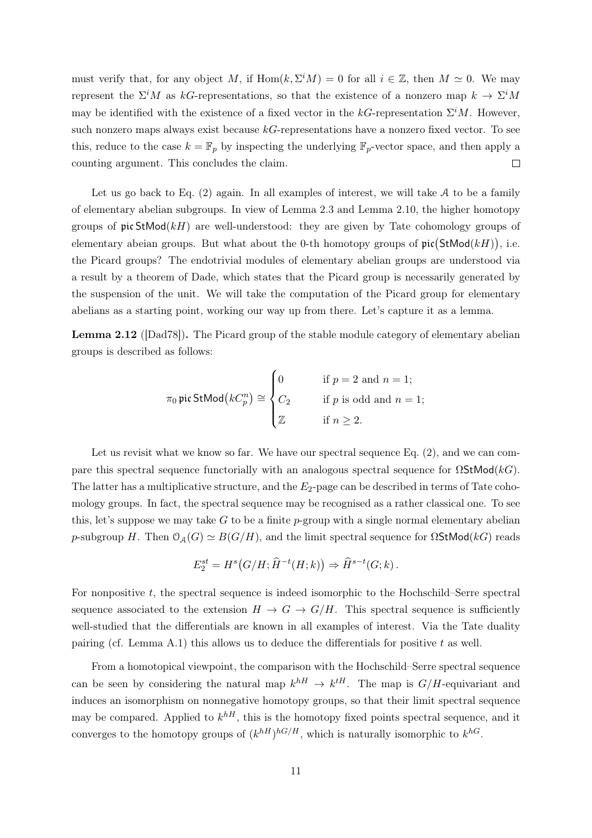must verify that, for any object M, if  $Hom(k, \Sigma^i M) = 0$  for all  $i \in \mathbb{Z}$ , then  $M \simeq 0$ . We may represent the  $\Sigma^i M$  as kG-representations, so that the existence of a nonzero map  $k \to \Sigma^i M$ may be identified with the existence of a fixed vector in the  $kG$ -representation  $\Sigma^i M$ . However, such nonzero maps always exist because  $k$ G-representations have a nonzero fixed vector. To see this, reduce to the case  $k = \mathbb{F}_p$  by inspecting the underlying  $\mathbb{F}_p$ -vector space, and then apply a counting argument. This concludes the claim.  $\Box$ 

Let us go back to Eq.  $(2)$  again. In all examples of interest, we will take  $A$  to be a family of elementary abelian subgroups. In view of Lemma [2.3](#page-5-1) and Lemma [2.10,](#page-9-0) the higher homotopy groups of  $\mathfrak{pic}$  StMod $(kH)$  are well-understood: they are given by Tate cohomology groups of elementary abeian groups. But what about the 0-th homotopy groups of  $\mathfrak{pic}(StMod(kH))$ , i.e. the Picard groups? The endotrivial modules of elementary abelian groups are understood via a result by a theorem of Dade, which states that the Picard group is necessarily generated by the suspension of the unit. We will take the computation of the Picard group for elementary abelians as a starting point, working our way up from there. Let's capture it as a lemma.

<span id="page-10-0"></span>Lemma 2.12 ([\[Dad78\]](#page-44-0)). The Picard group of the stable module category of elementary abelian groups is described as follows:

$$
\pi_0 \operatorname{pic} \operatorname{StMod}(kC_p^n) \cong \begin{cases} 0 & \text{if } p = 2 \text{ and } n = 1; \\ C_2 & \text{if } p \text{ is odd and } n = 1; \\ \mathbb{Z} & \text{if } n \ge 2. \end{cases}
$$

Let us revisit what we know so far. We have our spectral sequence Eq. [\(2\)](#page-7-2), and we can compare this spectral sequence functorially with an analogous spectral sequence for  $\Omega$ StMod(kG). The latter has a multiplicative structure, and the  $E_2$ -page can be described in terms of Tate cohomology groups. In fact, the spectral sequence may be recognised as a rather classical one. To see this, let's suppose we may take G to be a finite p-group with a single normal elementary abelian p-subgroup H. Then  $\mathcal{O}_{\mathcal{A}}(G) \simeq B(G/H)$ , and the limit spectral sequence for  $\Omega$ StMod(kG) reads

$$
E_2^{st} = H^s(G/H; \widehat{H}^{-t}(H;k)) \Rightarrow \widehat{H}^{s-t}(G;k).
$$

For nonpositive  $t$ , the spectral sequence is indeed isomorphic to the Hochschild–Serre spectral sequence associated to the extension  $H \to G \to G/H$ . This spectral sequence is sufficiently well-studied that the differentials are known in all examples of interest. Via the Tate duality pairing (cf. Lemma [A.1\)](#page-36-1) this allows us to deduce the differentials for positive t as well.

From a homotopical viewpoint, the comparison with the Hochschild–Serre spectral sequence can be seen by considering the natural map  $k^{hH} \to k^{tH}$ . The map is  $G/H$ -equivariant and induces an isomorphism on nonnegative homotopy groups, so that their limit spectral sequence may be compared. Applied to  $k^{hH}$ , this is the homotopy fixed points spectral sequence, and it converges to the homotopy groups of  $(k^{hH})^{hG/H}$ , which is naturally isomorphic to  $k^{hG}$ .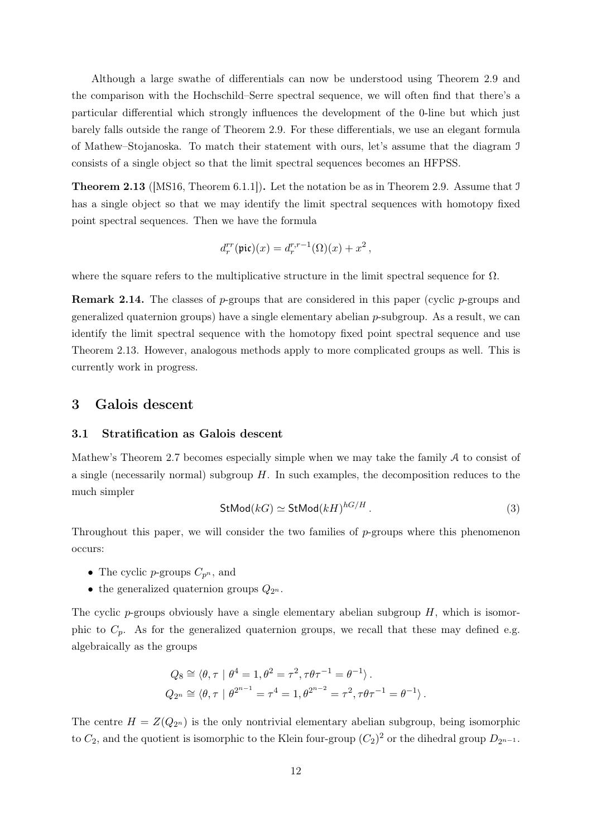Although a large swathe of differentials can now be understood using Theorem [2.9](#page-8-0) and the comparison with the Hochschild–Serre spectral sequence, we will often find that there's a particular differential which strongly influences the development of the 0-line but which just barely falls outside the range of Theorem [2.9.](#page-8-0) For these differentials, we use an elegant formula of Mathew–Stojanoska. To match their statement with ours, let's assume that the diagram I consists of a single object so that the limit spectral sequences becomes an HFPSS.

<span id="page-11-2"></span>**Theorem 2.13** ([\[MS16,](#page-44-5) Theorem 6.1.1]). Let the notation be as in Theorem [2.9.](#page-8-0) Assume that J has a single object so that we may identify the limit spectral sequences with homotopy fixed point spectral sequences. Then we have the formula

$$
d_r^{rr}(\text{pic})(x) = d_r^{r,r-1}(\Omega)(x) + x^2,
$$

where the square refers to the multiplicative structure in the limit spectral sequence for  $\Omega$ .

**Remark 2.14.** The classes of p-groups that are considered in this paper (cyclic p-groups and generalized quaternion groups) have a single elementary abelian  $p$ -subgroup. As a result, we can identify the limit spectral sequence with the homotopy fixed point spectral sequence and use Theorem [2.13.](#page-11-2) However, analogous methods apply to more complicated groups as well. This is currently work in progress.

# <span id="page-11-1"></span><span id="page-11-0"></span>3 Galois descent

## 3.1 Stratification as Galois descent

<span id="page-11-3"></span>Mathew's Theorem [2.7](#page-7-4) becomes especially simple when we may take the family  $A$  to consist of a single (necessarily normal) subgroup  $H$ . In such examples, the decomposition reduces to the much simpler

$$
\text{StMod}(k) \simeq \text{StMod}(k)^{hG/H} \,. \tag{3}
$$

Throughout this paper, we will consider the two families of p-groups where this phenomenon occurs:

- The cyclic p-groups  $C_{p^n}$ , and
- the generalized quaternion groups  $Q_{2^n}$ .

The cyclic p-groups obviously have a single elementary abelian subgroup  $H$ , which is isomorphic to  $C_p$ . As for the generalized quaternion groups, we recall that these may defined e.g. algebraically as the groups

$$
Q_8 \cong \langle \theta, \tau | \theta^4 = 1, \theta^2 = \tau^2, \tau \theta \tau^{-1} = \theta^{-1} \rangle.
$$
  

$$
Q_{2^n} \cong \langle \theta, \tau | \theta^{2^{n-1}} = \tau^4 = 1, \theta^{2^{n-2}} = \tau^2, \tau \theta \tau^{-1} = \theta^{-1} \rangle.
$$

The centre  $H = Z(Q_{2^n})$  is the only nontrivial elementary abelian subgroup, being isomorphic to  $C_2$ , and the quotient is isomorphic to the Klein four-group  $(C_2)^2$  or the dihedral group  $D_{2^{n-1}}$ .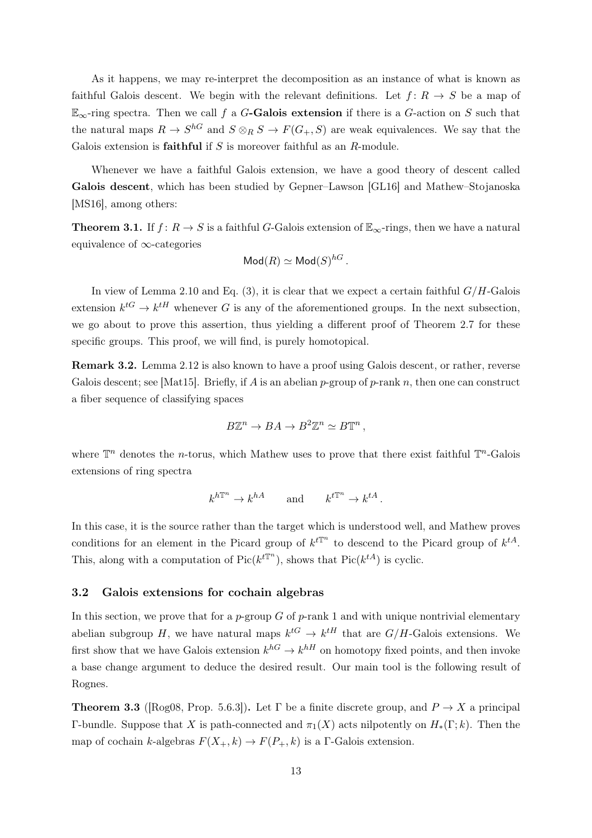As it happens, we may re-interpret the decomposition as an instance of what is known as faithful Galois descent. We begin with the relevant definitions. Let  $f: R \to S$  be a map of  $\mathbb{E}_{\infty}$ -ring spectra. Then we call f a G-Galois extension if there is a G-action on S such that the natural maps  $R \to S^{hG}$  and  $S \otimes_R S \to F(G_+, S)$  are weak equivalences. We say that the Galois extension is **faithful** if  $S$  is moreover faithful as an  $R$ -module.

Whenever we have a faithful Galois extension, we have a good theory of descent called Galois descent, which has been studied by Gepner–Lawson [\[GL16\]](#page-44-11) and Mathew–Stojanoska [\[MS16\]](#page-44-5), among others:

**Theorem 3.1.** If  $f: R \to S$  is a faithful G-Galois extension of  $\mathbb{E}_{\infty}$ -rings, then we have a natural equivalence of ∞-categories

$$
\mathsf{Mod}(R) \simeq \mathsf{Mod}(S)^{hG}.
$$

In view of Lemma [2.10](#page-9-0) and Eq. [\(3\)](#page-11-3), it is clear that we expect a certain faithful  $G/H$ -Galois extension  $k^{tG} \to k^{tH}$  whenever G is any of the aforementioned groups. In the next subsection, we go about to prove this assertion, thus yielding a different proof of Theorem [2.7](#page-7-4) for these specific groups. This proof, we will find, is purely homotopical.

Remark 3.2. Lemma [2.12](#page-10-0) is also known to have a proof using Galois descent, or rather, reverse Galois descent; see [\[Mat15\]](#page-44-12). Briefly, if A is an abelian p-group of p-rank n, then one can construct a fiber sequence of classifying spaces

$$
B\mathbb{Z}^n \to BA \to B^2\mathbb{Z}^n \simeq B\mathbb{T}^n,
$$

where  $\mathbb{T}^n$  denotes the *n*-torus, which Mathew uses to prove that there exist faithful  $\mathbb{T}^n$ -Galois extensions of ring spectra

$$
k^{h\mathbb{T}^n} \to k^{hA}
$$
 and  $k^{t\mathbb{T}^n} \to k^{tA}$ .

In this case, it is the source rather than the target which is understood well, and Mathew proves conditions for an element in the Picard group of  $k^{tT^n}$  to descend to the Picard group of  $k^{tA}$ . This, along with a computation of  $Pic(k^{t\mathbb{T}^n})$ , shows that  $Pic(k^{tA})$  is cyclic.

## <span id="page-12-0"></span>3.2 Galois extensions for cochain algebras

In this section, we prove that for a p-group  $G$  of p-rank 1 and with unique nontrivial elementary abelian subgroup H, we have natural maps  $k^{tG} \to k^{tH}$  that are  $G/H$ -Galois extensions. We first show that we have Galois extension  $k^{hG} \to k^{hH}$  on homotopy fixed points, and then invoke a base change argument to deduce the desired result. Our main tool is the following result of Rognes.

<span id="page-12-1"></span>**Theorem 3.3** ([\[Rog08,](#page-45-2) Prop. 5.6.3]). Let Γ be a finite discrete group, and  $P \to X$  a principal Γ-bundle. Suppose that X is path-connected and  $\pi_1(X)$  acts nilpotently on  $H_*(\Gamma; k)$ . Then the map of cochain k-algebras  $F(X_+, k) \to F(P_+, k)$  is a Γ-Galois extension.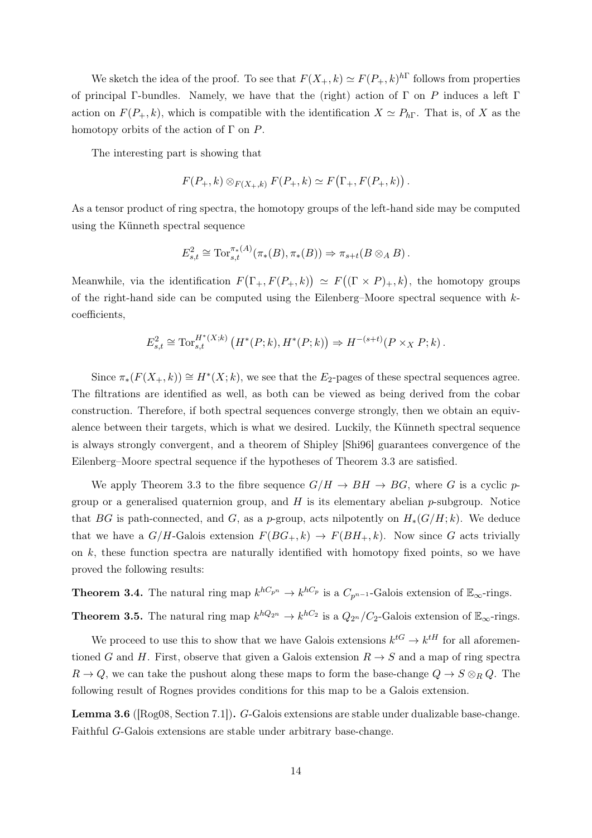We sketch the idea of the proof. To see that  $F(X_+, k) \simeq F(P_+, k)^{h\Gamma}$  follows from properties of principal Γ-bundles. Namely, we have that the (right) action of Γ on P induces a left Γ action on  $F(P_+, k)$ , which is compatible with the identification  $X \simeq P_{h\Gamma}$ . That is, of X as the homotopy orbits of the action of  $\Gamma$  on  $P$ .

The interesting part is showing that

$$
F(P_+,k) \otimes_{F(X_+,k)} F(P_+,k) \simeq F(\Gamma_+,F(P_+,k))
$$

As a tensor product of ring spectra, the homotopy groups of the left-hand side may be computed using the Künneth spectral sequence

$$
E_{s,t}^2 \cong \mathrm{Tor}_{s,t}^{\pi_*(A)}(\pi_*(B),\pi_*(B)) \Rightarrow \pi_{s+t}(B \otimes_A B).
$$

Meanwhile, via the identification  $F(\Gamma_+, F(P_+, k)) \simeq F((\Gamma \times P)_+, k)$ , the homotopy groups of the right-hand side can be computed using the Eilenberg–Moore spectral sequence with kcoefficients,

$$
E_{s,t}^{2} \cong \text{Tor}_{s,t}^{H^{*}(X;k)}\left(H^{*}(P;k), H^{*}(P;k)\right) \Rightarrow H^{-(s+t)}(P \times_{X} P;k).
$$

Since  $\pi_*(F(X_+,k)) \cong H^*(X;k)$ , we see that the  $E_2$ -pages of these spectral sequences agree. The filtrations are identified as well, as both can be viewed as being derived from the cobar construction. Therefore, if both spectral sequences converge strongly, then we obtain an equivalence between their targets, which is what we desired. Luckily, the Künneth spectral sequence is always strongly convergent, and a theorem of Shipley [\[Shi96\]](#page-45-3) guarantees convergence of the Eilenberg–Moore spectral sequence if the hypotheses of Theorem [3.3](#page-12-1) are satisfied.

We apply Theorem [3.3](#page-12-1) to the fibre sequence  $G/H \to BH \to BG$ , where G is a cyclic pgroup or a generalised quaternion group, and  $H$  is its elementary abelian p-subgroup. Notice that BG is path-connected, and G, as a p-group, acts nilpotently on  $H_*(G/H; k)$ . We deduce that we have a  $G/H$ -Galois extension  $F(BG_+, k) \to F(BH_+, k)$ . Now since G acts trivially on  $k$ , these function spectra are naturally identified with homotopy fixed points, so we have proved the following results:

**Theorem 3.4.** The natural ring map  $k^{hC_{p^n}} \to k^{hC_p}$  is a  $C_{p^{n-1}}$ -Galois extension of  $\mathbb{E}_{\infty}$ -rings.

**Theorem 3.5.** The natural ring map  $k^{hQ_{2n}} \to k^{hC_2}$  is a  $Q_{2n}/C_2$ -Galois extension of  $\mathbb{E}_{\infty}$ -rings.

We proceed to use this to show that we have Galois extensions  $k^{tG} \rightarrow k^{tH}$  for all aforementioned G and H. First, observe that given a Galois extension  $R \to S$  and a map of ring spectra  $R \to Q$ , we can take the pushout along these maps to form the base-change  $Q \to S \otimes_R Q$ . The following result of Rognes provides conditions for this map to be a Galois extension.

<span id="page-13-0"></span>Lemma 3.6 ([\[Rog08,](#page-45-2) Section 7.1]). G-Galois extensions are stable under dualizable base-change. Faithful G-Galois extensions are stable under arbitrary base-change.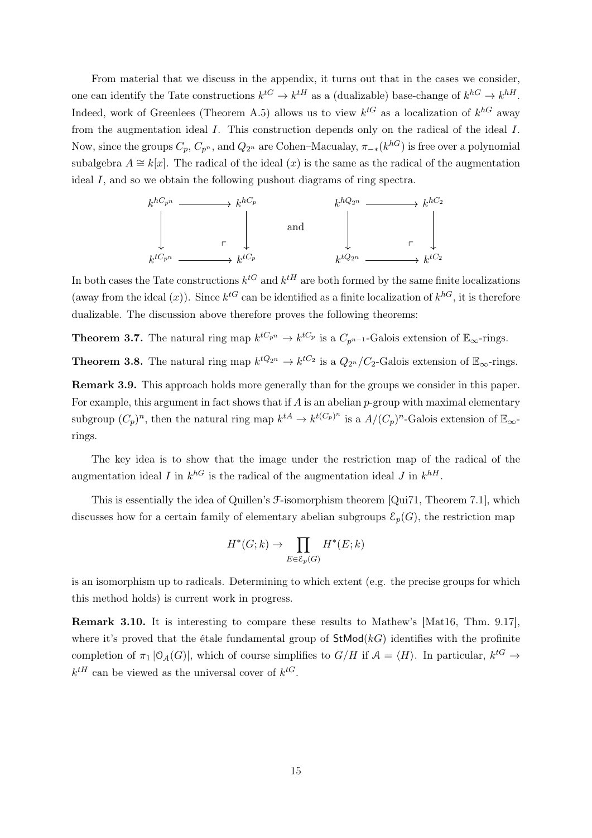From material that we discuss in the appendix, it turns out that in the cases we consider, one can identify the Tate constructions  $k^{tG} \to k^{tH}$  as a (dualizable) base-change of  $k^{hG} \to k^{hH}$ . Indeed, work of Greenlees (Theorem [A.5\)](#page-39-0) allows us to view  $k^{tG}$  as a localization of  $k^{hG}$  away from the augmentation ideal I. This construction depends only on the radical of the ideal I. Now, since the groups  $C_p$ ,  $C_{p^n}$ , and  $Q_{2^n}$  are Cohen–Macualay,  $\pi_{-*}(k^{hG})$  is free over a polynomial subalgebra  $A \cong k[x]$ . The radical of the ideal  $(x)$  is the same as the radical of the augmentation ideal I, and so we obtain the following pushout diagrams of ring spectra.



In both cases the Tate constructions  $k^{tG}$  and  $k^{tH}$  are both formed by the same finite localizations (away from the ideal  $(x)$ ). Since  $k^{tG}$  can be identified as a finite localization of  $k^{hG}$ , it is therefore dualizable. The discussion above therefore proves the following theorems:

<span id="page-14-0"></span>**Theorem 3.7.** The natural ring map  $k^{tC_{p^n}} \to k^{tC_p}$  is a  $C_{p^{n-1}}$ -Galois extension of  $\mathbb{E}_{\infty}$ -rings. **Theorem 3.8.** The natural ring map  $k^{tQ_{2n}} \to k^{tC_2}$  is a  $Q_{2n}/C_2$ -Galois extension of  $\mathbb{E}_{\infty}$ -rings.

Remark 3.9. This approach holds more generally than for the groups we consider in this paper. For example, this argument in fact shows that if  $A$  is an abelian p-group with maximal elementary subgroup  $(C_p)^n$ , then the natural ring map  $k^{tA} \to k^{t(C_p)^n}$  is a  $A/(C_p)^n$ -Galois extension of  $\mathbb{E}_{\infty}$ rings.

The key idea is to show that the image under the restriction map of the radical of the augmentation ideal I in  $k^{hG}$  is the radical of the augmentation ideal J in  $k^{hH}$ .

This is essentially the idea of Quillen's F-isomorphism theorem [\[Qui71,](#page-44-13) Theorem 7.1], which discusses how for a certain family of elementary abelian subgroups  $\mathcal{E}_p(G)$ , the restriction map

$$
H^*(G;k) \to \prod_{E \in \mathcal{E}_p(G)} H^*(E;k)
$$

is an isomorphism up to radicals. Determining to which extent (e.g. the precise groups for which this method holds) is current work in progress.

Remark 3.10. It is interesting to compare these results to Mathew's [\[Mat16,](#page-44-8) Thm. 9.17], where it's proved that the étale fundamental group of  $\mathsf{StMod}(kG)$  identifies with the profinite completion of  $\pi_1 |O_{\mathcal{A}}(G)|$ , which of course simplifies to  $G/H$  if  $\mathcal{A} = \langle H \rangle$ . In particular,  $k^{tG} \to$  $k^{tH}$  can be viewed as the universal cover of  $k^{tG}$ .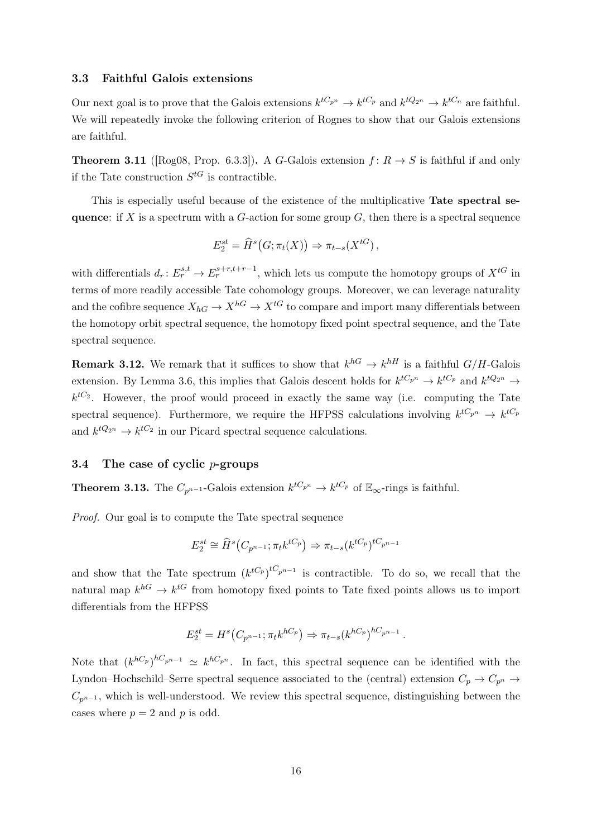#### <span id="page-15-0"></span>3.3 Faithful Galois extensions

Our next goal is to prove that the Galois extensions  $k^{tC_{p^n}} \to k^{tC_p}$  and  $k^{tQ_{2^n}} \to k^{tC_n}$  are faithful. We will repeatedly invoke the following criterion of Rognes to show that our Galois extensions are faithful.

<span id="page-15-2"></span>**Theorem 3.11** ([\[Rog08,](#page-45-2) Prop. 6.3.3]). A G-Galois extension  $f: R \rightarrow S$  is faithful if and only if the Tate construction  $S^{tG}$  is contractible.

This is especially useful because of the existence of the multiplicative Tate spectral sequence: if X is a spectrum with a G-action for some group  $G$ , then there is a spectral sequence

$$
E_2^{st} = \widehat{H}^s(G; \pi_t(X)) \Rightarrow \pi_{t-s}(X^{tG}),
$$

with differentials  $d_r: E_r^{s,t} \to E_r^{s+r,t+r-1}$ , which lets us compute the homotopy groups of  $X^{tG}$  in terms of more readily accessible Tate cohomology groups. Moreover, we can leverage naturality and the cofibre sequence  $X_{hG} \to X^{hG} \to X^{tG}$  to compare and import many differentials between the homotopy orbit spectral sequence, the homotopy fixed point spectral sequence, and the Tate spectral sequence.

**Remark 3.12.** We remark that it suffices to show that  $k^{h} \to k^{h}$  is a faithful  $G/H$ -Galois extension. By Lemma [3.6,](#page-13-0) this implies that Galois descent holds for  $k^{tC_{p^n}} \to k^{tC_p}$  and  $k^{tQ_{2^n}} \to$  $k^{tC_2}$ . However, the proof would proceed in exactly the same way (i.e. computing the Tate spectral sequence). Furthermore, we require the HFPSS calculations involving  $k^{tC_{p^n}} \to k^{tC_p}$ and  $k^{tQ_{2^n}} \to k^{tC_2}$  in our Picard spectral sequence calculations.

# <span id="page-15-1"></span>3.4 The case of cyclic  $p$ -groups

**Theorem 3.13.** The  $C_{p^{n-1}}$ -Galois extension  $k^{tC_{p^n}} \to k^{tC_p}$  of  $\mathbb{E}_{\infty}$ -rings is faithful.

Proof. Our goal is to compute the Tate spectral sequence

$$
E_2^{st} \cong \widehat{H}^s(C_{p^{n-1}}; \pi_t k^{tC_p}) \Rightarrow \pi_{t-s}(k^{tC_p})^{tC_{p^{n-1}}}
$$

and show that the Tate spectrum  $(k^{tC_p})^{tC_{p^{n-1}}}$  is contractible. To do so, we recall that the natural map  $k^{hG} \to k^{tG}$  from homotopy fixed points to Tate fixed points allows us to import differentials from the HFPSS

$$
E_2^{st} = H^s(C_{p^{n-1}}; \pi_t k^{hC_p}) \Rightarrow \pi_{t-s}(k^{hC_p})^{hC_{p^{n-1}}}.
$$

Note that  $(k^{hC_p})^{hC_{p^{n-1}}}\simeq k^{hC_{p^n}}$ . In fact, this spectral sequence can be identified with the Lyndon–Hochschild–Serre spectral sequence associated to the (central) extension  $C_p \rightarrow C_{p^n} \rightarrow$  $C_{n^{n-1}}$ , which is well-understood. We review this spectral sequence, distinguishing between the cases where  $p = 2$  and p is odd.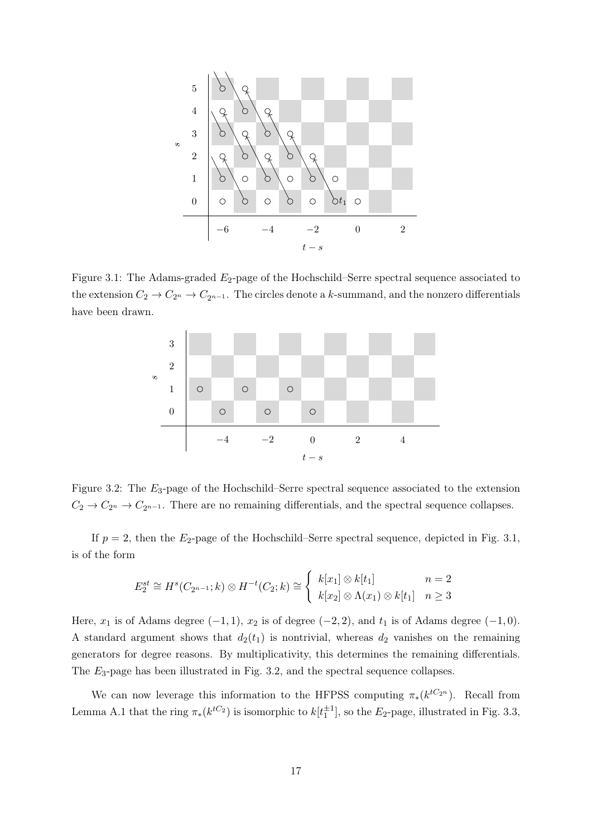

<span id="page-16-0"></span>Figure 3.1: The Adams-graded  $E_2$ -page of the Hochschild–Serre spectral sequence associated to the extension  $C_2 \to C_{2^n} \to C_{2^{n-1}}$ . The circles denote a k-summand, and the nonzero differentials have been drawn.



<span id="page-16-1"></span>Figure 3.2: The E3-page of the Hochschild–Serre spectral sequence associated to the extension  $C_2 \to C_{2^n} \to C_{2^{n-1}}$ . There are no remaining differentials, and the spectral sequence collapses.

If  $p = 2$ , then the  $E_2$ -page of the Hochschild–Serre spectral sequence, depicted in Fig. [3.1,](#page-16-0) is of the form

$$
E_2^{st} \cong H^s(C_{2^{n-1}}; k) \otimes H^{-t}(C_2; k) \cong \begin{cases} k[x_1] \otimes k[t_1] & n=2\\ k[x_2] \otimes \Lambda(x_1) \otimes k[t_1] & n \ge 3 \end{cases}
$$

Here,  $x_1$  is of Adams degree  $(-1, 1)$ ,  $x_2$  is of degree  $(-2, 2)$ , and  $t_1$  is of Adams degree  $(-1, 0)$ . A standard argument shows that  $d_2(t_1)$  is nontrivial, whereas  $d_2$  vanishes on the remaining generators for degree reasons. By multiplicativity, this determines the remaining differentials. The E3-page has been illustrated in Fig. [3.2,](#page-16-1) and the spectral sequence collapses.

We can now leverage this information to the HFPSS computing  $\pi_*(k^{tC_{2^n}})$ . Recall from Lemma [A.1](#page-36-1) that the ring  $\pi_*(k^{tC_2})$  is isomorphic to  $k[t_1^{\pm 1}]$ , so the  $E_2$ -page, illustrated in Fig. [3.3,](#page-17-0)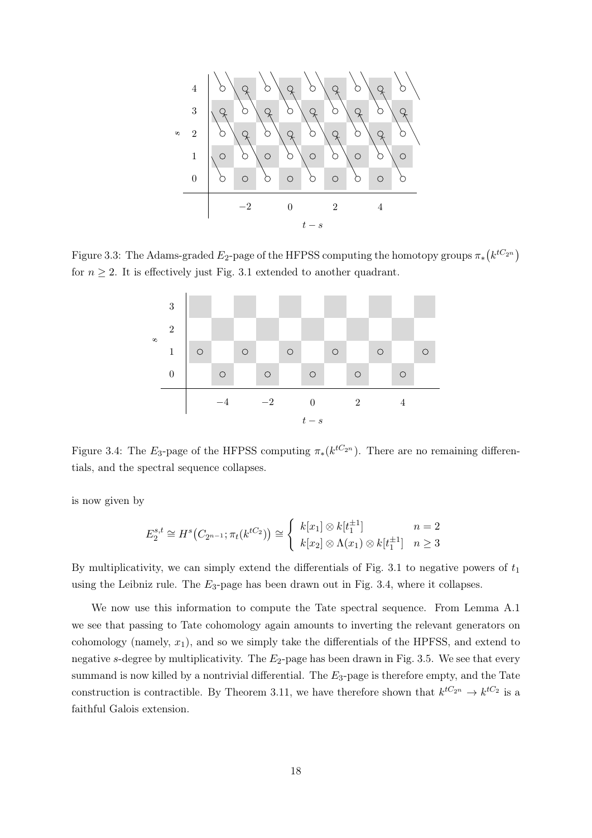t − s s−2 0 2 4 0 1 2 3 4

Figure 3.3: The Adams-graded  $E_2$ -page of the HFPSS computing the homotopy groups  $\pi_*(k^{tC_{2^n}})$ for  $n \geq 2$ . It is effectively just Fig. [3.1](#page-16-0) extended to another quadrant.

<span id="page-17-0"></span>

<span id="page-17-1"></span>Figure 3.4: The  $E_3$ -page of the HFPSS computing  $\pi_*(k^{tC_{2^n}})$ . There are no remaining differentials, and the spectral sequence collapses.

is now given by

$$
E_2^{s,t} \cong H^s(C_{2^{n-1}}; \pi_t(k^{tC_2})) \cong \begin{cases} k[x_1] \otimes k[t_1^{\pm 1}] & n=2\\ k[x_2] \otimes \Lambda(x_1) \otimes k[t_1^{\pm 1}] & n \ge 3 \end{cases}
$$

By multiplicativity, we can simply extend the differentials of Fig. [3.1](#page-16-0) to negative powers of  $t_1$ using the Leibniz rule. The  $E_3$ -page has been drawn out in Fig. [3.4,](#page-17-1) where it collapses.

We now use this information to compute the Tate spectral sequence. From Lemma [A.1](#page-36-1) we see that passing to Tate cohomology again amounts to inverting the relevant generators on cohomology (namely,  $x_1$ ), and so we simply take the differentials of the HPFSS, and extend to negative s-degree by multiplicativity. The  $E_2$ -page has been drawn in Fig. [3.5.](#page-18-1) We see that every summand is now killed by a nontrivial differential. The  $E_3$ -page is therefore empty, and the Tate construction is contractible. By Theorem [3.11,](#page-15-2) we have therefore shown that  $k^{tC_{2^n}} \to k^{tC_2}$  is a faithful Galois extension.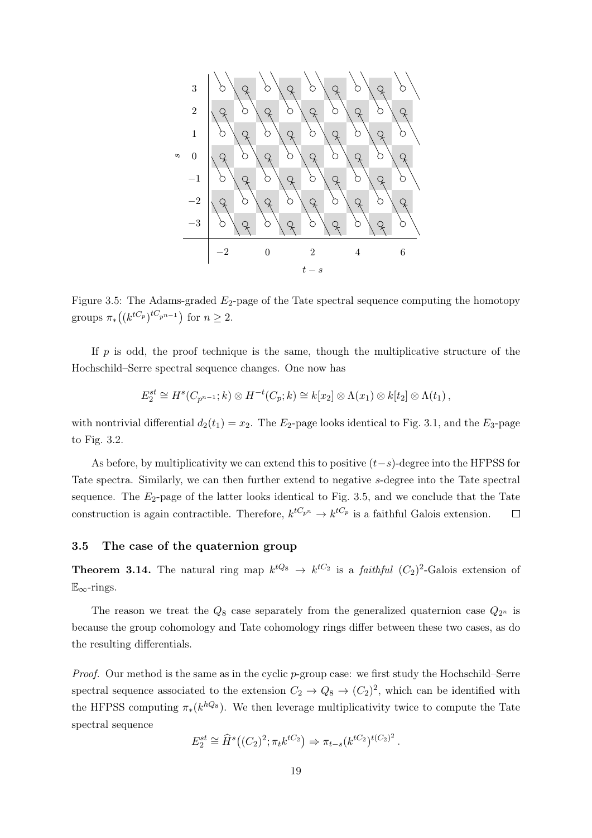

<span id="page-18-1"></span>Figure 3.5: The Adams-graded  $E_2$ -page of the Tate spectral sequence computing the homotopy groups  $\pi_*((k^{tC_p})^{tC_{p^{n-1}}})$  for  $n \geq 2$ .

If  $p$  is odd, the proof technique is the same, though the multiplicative structure of the Hochschild–Serre spectral sequence changes. One now has

$$
E_2^{st} \cong H^s(C_{p^{n-1}}; k) \otimes H^{-t}(C_p; k) \cong k[x_2] \otimes \Lambda(x_1) \otimes k[t_2] \otimes \Lambda(t_1),
$$

with nontrivial differential  $d_2(t_1) = x_2$ . The  $E_2$ -page looks identical to Fig. [3.1,](#page-16-0) and the  $E_3$ -page to Fig. [3.2.](#page-16-1)

As before, by multiplicativity we can extend this to positive  $(t-s)$ -degree into the HFPSS for Tate spectra. Similarly, we can then further extend to negative s-degree into the Tate spectral sequence. The  $E_2$ -page of the latter looks identical to Fig. [3.5,](#page-18-1) and we conclude that the Tate construction is again contractible. Therefore,  $k^{tC_{p^n}} \to k^{tC_p}$  is a faithful Galois extension.  $\Box$ 

## <span id="page-18-0"></span>3.5 The case of the quaternion group

**Theorem 3.14.** The natural ring map  $k^{tQ_8} \rightarrow k^{tC_2}$  is a *faithful*  $(C_2)^2$ -Galois extension of  $\mathbb{E}_{\infty}$ -rings.

The reason we treat the  $Q_8$  case separately from the generalized quaternion case  $Q_{2^n}$  is because the group cohomology and Tate cohomology rings differ between these two cases, as do the resulting differentials.

*Proof.* Our method is the same as in the cyclic  $p$ -group case: we first study the Hochschild–Serre spectral sequence associated to the extension  $C_2 \to Q_8 \to (C_2)^2$ , which can be identified with the HFPSS computing  $\pi_*(k^{hQ_8})$ . We then leverage multiplicativity twice to compute the Tate spectral sequence

$$
E_2^{st} \cong \widehat{H}^s((C_2)^2; \pi_t k^{tC_2}) \Rightarrow \pi_{t-s}(k^{tC_2})^{t(C_2)^2}.
$$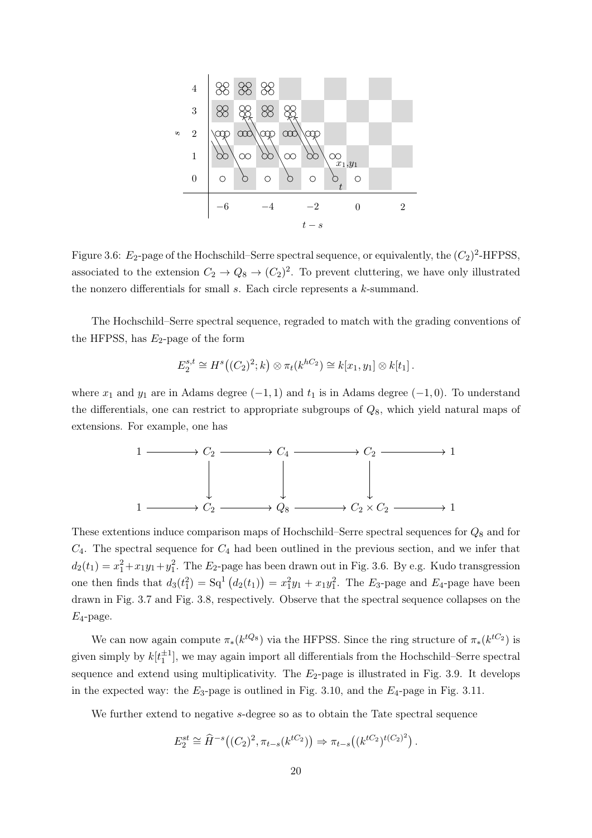

<span id="page-19-0"></span>Figure 3.6:  $E_2$ -page of the Hochschild–Serre spectral sequence, or equivalently, the  $(C_2)^2$ -HFPSS, associated to the extension  $C_2 \to Q_8 \to (C_2)^2$ . To prevent cluttering, we have only illustrated the nonzero differentials for small  $s$ . Each circle represents a  $k$ -summand.

The Hochschild–Serre spectral sequence, regraded to match with the grading conventions of the HFPSS, has  $E_2$ -page of the form

$$
E_2^{s,t} \cong H^s((C_2)^2; k) \otimes \pi_t(k^{hC_2}) \cong k[x_1, y_1] \otimes k[t_1].
$$

where  $x_1$  and  $y_1$  are in Adams degree  $(-1, 1)$  and  $t_1$  is in Adams degree  $(-1, 0)$ . To understand the differentials, one can restrict to appropriate subgroups of  $Q_8$ , which yield natural maps of extensions. For example, one has



These extentions induce comparison maps of Hochschild–Serre spectral sequences for  $Q_8$  and for  $C_4$ . The spectral sequence for  $C_4$  had been outlined in the previous section, and we infer that  $d_2(t_1) = x_1^2 + x_1y_1 + y_1^2$ . The  $E_2$ -page has been drawn out in Fig. [3.6.](#page-19-0) By e.g. Kudo transgression one then finds that  $d_3(t_1^2) = Sq^1(d_2(t_1)) = x_1^2y_1 + x_1y_1^2$ . The E<sub>3</sub>-page and E<sub>4</sub>-page have been drawn in Fig. [3.7](#page-20-0) and Fig. [3.8,](#page-20-1) respectively. Observe that the spectral sequence collapses on the  $E_4$ -page.

We can now again compute  $\pi_*(k^{tQ_8})$  via the HFPSS. Since the ring structure of  $\pi_*(k^{tC_2})$  is given simply by  $k[t_1^{\pm 1}]$ , we may again import all differentials from the Hochschild–Serre spectral sequence and extend using multiplicativity. The  $E_2$ -page is illustrated in Fig. [3.9.](#page-20-2) It develops in the expected way: the  $E_3$ -page is outlined in Fig. [3.10,](#page-21-0) and the  $E_4$ -page in Fig. [3.11.](#page-21-1)

We further extend to negative s-degree so as to obtain the Tate spectral sequence

$$
E_2^{st} \cong \widehat{H}^{-s}((C_2)^2, \pi_{t-s}(k^{tC_2})) \Rightarrow \pi_{t-s}((k^{tC_2})^{t(C_2)^2}).
$$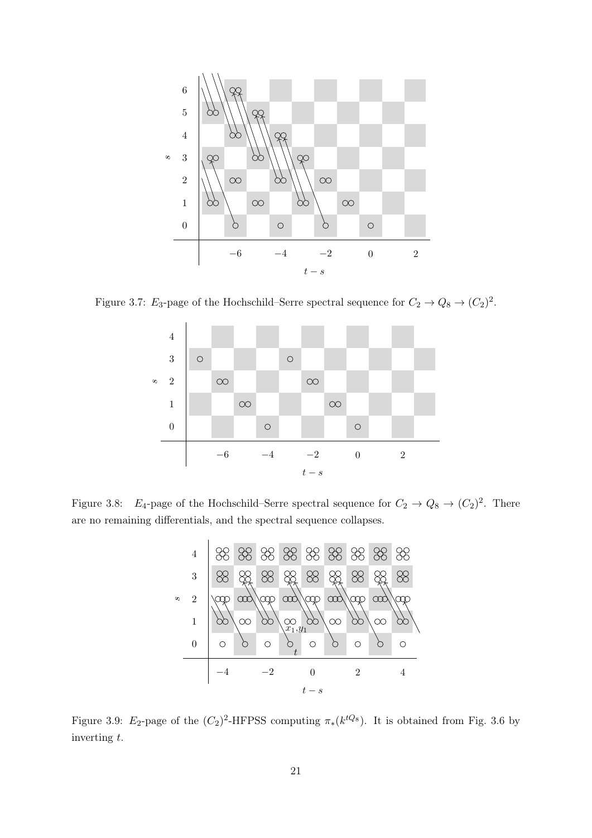

Figure 3.7:  $E_3$ -page of the Hochschild–Serre spectral sequence for  $C_2 \rightarrow Q_8 \rightarrow (C_2)^2$ .

<span id="page-20-0"></span>

Figure 3.8:  $E_4$ -page of the Hochschild–Serre spectral sequence for  $C_2 \rightarrow Q_8 \rightarrow (C_2)^2$ . There are no remaining differentials, and the spectral sequence collapses.

<span id="page-20-1"></span>

<span id="page-20-2"></span>Figure 3.9: E<sub>2</sub>-page of the  $(C_2)^2$ -HFPSS computing  $\pi_*(k^{tQ_8})$ . It is obtained from Fig. [3.6](#page-19-0) by inverting t.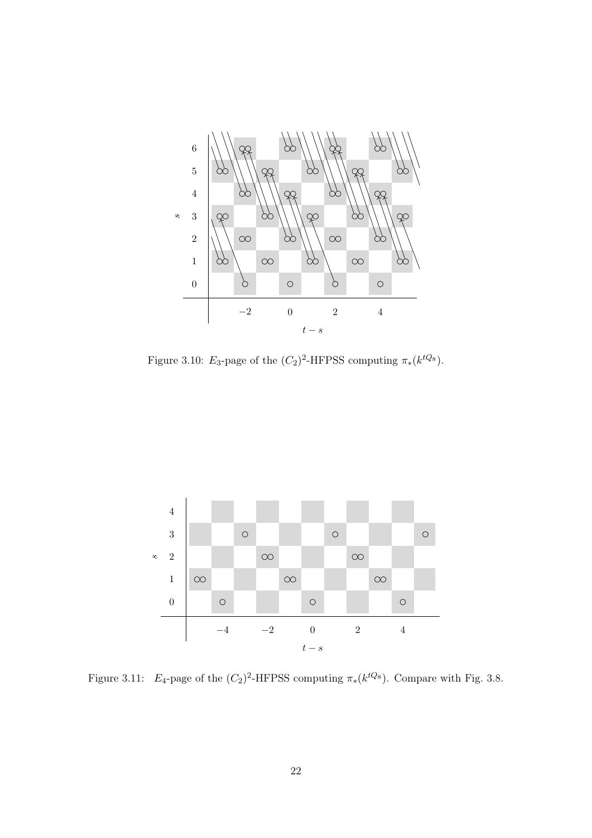

<span id="page-21-0"></span>Figure 3.10: E<sub>3</sub>-page of the  $(C_2)^2$ -HFPSS computing  $\pi_*(k^{tQ_8})$ .



<span id="page-21-1"></span>Figure 3.11:  $E_4$ -page of the  $(C_2)^2$ -HFPSS computing  $\pi_*(k^{tQ_8})$ . Compare with Fig. [3.8.](#page-20-1)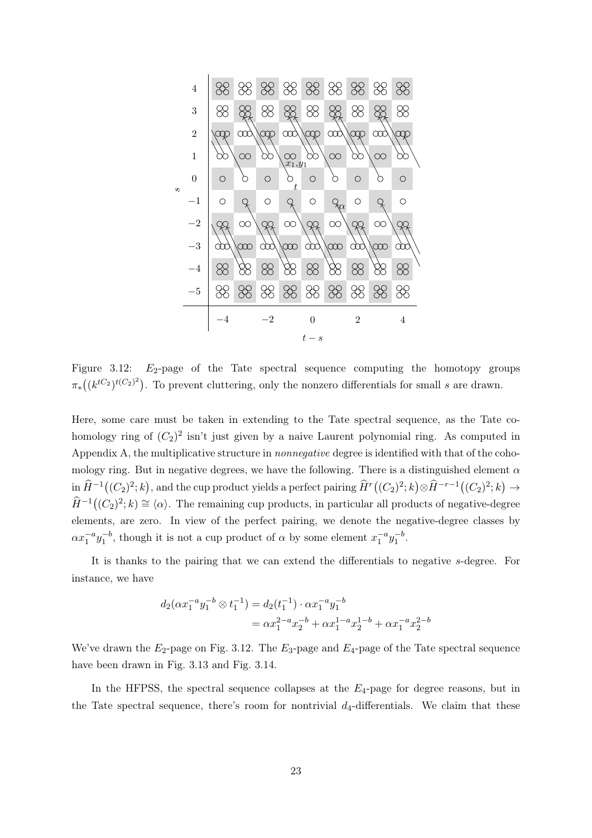

<span id="page-22-0"></span>Figure 3.12:  $E_2$ -page of the Tate spectral sequence computing the homotopy groups  $\pi_*((k^{tC_2})^{t(C_2)^2})$ . To prevent cluttering, only the nonzero differentials for small s are drawn.

Here, some care must be taken in extending to the Tate spectral sequence, as the Tate cohomology ring of  $(C_2)^2$  isn't just given by a naive Laurent polynomial ring. As computed in Appendix [A,](#page-36-0) the multiplicative structure in nonnegative degree is identified with that of the cohomology ring. But in negative degrees, we have the following. There is a distinguished element  $\alpha$  $\inf \widehat{H}^{-1}((C_2)^2; k)$ , and the cup product yields a perfect pairing  $\widehat{H}^r((C_2)^2; k) \otimes \widehat{H}^{-r-1}((C_2)^2; k) \to$  $\widehat{H}^{-1}((C_2)^2; k) \cong \langle \alpha \rangle$ . The remaining cup products, in particular all products of negative-degree elements, are zero. In view of the perfect pairing, we denote the negative-degree classes by  $\alpha x_1^{-a} y_1^{-b}$ , though it is not a cup product of  $\alpha$  by some element  $x_1^{-a} y_1^{-b}$ .

It is thanks to the pairing that we can extend the differentials to negative s-degree. For instance, we have

$$
d_2(\alpha x_1^{-a} y_1^{-b} \otimes t_1^{-1}) = d_2(t_1^{-1}) \cdot \alpha x_1^{-a} y_1^{-b}
$$
  
=  $\alpha x_1^{2-a} x_2^{-b} + \alpha x_1^{1-a} x_2^{1-b} + \alpha x_1^{-a} x_2^{2-b}$ 

We've drawn the  $E_2$ -page on Fig. [3.12.](#page-22-0) The  $E_3$ -page and  $E_4$ -page of the Tate spectral sequence have been drawn in Fig. [3.13](#page-23-0) and Fig. [3.14.](#page-23-1)

In the HFPSS, the spectral sequence collapses at the  $E_4$ -page for degree reasons, but in the Tate spectral sequence, there's room for nontrivial  $d_4$ -differentials. We claim that these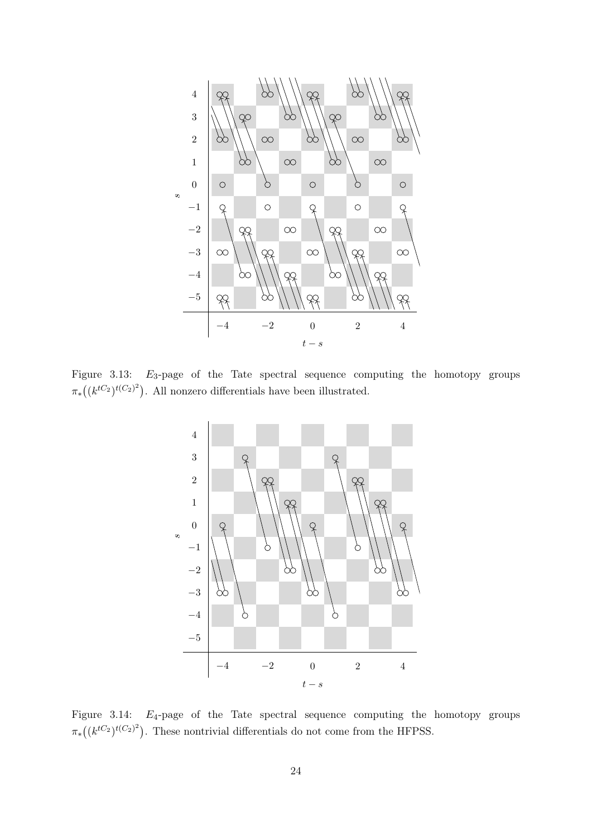

Figure 3.13:  $E_3$ -page of the Tate spectral sequence computing the homotopy groups  $\pi_*((k^{tC_2})^{t(C_2)^2})$ . All nonzero differentials have been illustrated.

<span id="page-23-0"></span>

<span id="page-23-1"></span>Figure 3.14:  $E_4$ -page of the Tate spectral sequence computing the homotopy groups  $\pi_*((k^{tC_2})^{t(C_2)^2})$ . These nontrivial differentials do not come from the HFPSS.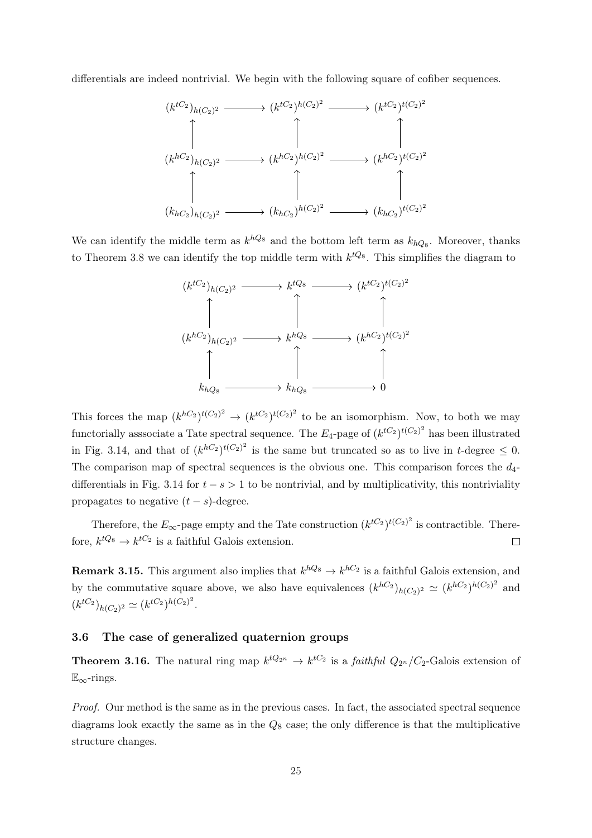differentials are indeed nontrivial. We begin with the following square of cofiber sequences.



We can identify the middle term as  $k^{hQ_8}$  and the bottom left term as  $k_{hQ_8}$ . Moreover, thanks to Theorem [3.8](#page-14-0) we can identify the top middle term with  $k^{tQ_8}$ . This simplifies the diagram to



This forces the map  $(k^{hC_2})^{t(C_2)^2} \rightarrow (k^{tC_2})^{t(C_2)^2}$  to be an isomorphism. Now, to both we may functorially asssociate a Tate spectral sequence. The  $E_4$ -page of  $(k^{tC_2})^{t(C_2)^2}$  has been illustrated in Fig. [3.14,](#page-23-1) and that of  $(k^{hC_2})^{t(C_2)^2}$  is the same but truncated so as to live in t-degree  $\leq 0$ . The comparison map of spectral sequences is the obvious one. This comparison forces the  $d_4$ -differentials in Fig. [3.14](#page-23-1) for  $t - s > 1$  to be nontrivial, and by multiplicativity, this nontriviality propagates to negative  $(t - s)$ -degree.

Therefore, the  $E_{\infty}$ -page empty and the Tate construction  $(k^{tC_2})^{t(C_2)^2}$  is contractible. Therefore,  $k^{tQ_8} \rightarrow k^{tC_2}$  is a faithful Galois extension.  $\Box$ 

**Remark 3.15.** This argument also implies that  $k^{hQ_8} \rightarrow k^{hC_2}$  is a faithful Galois extension, and by the commutative square above, we also have equivalences  $(k^{hC_2})_{h(C_2)^2} \simeq (k^{hC_2})^{h(C_2)^2}$  and  $(k^{tC_2})_{h(C_2)^2} \simeq (k^{tC_2})^{h(C_2)^2}.$ 

## <span id="page-24-0"></span>3.6 The case of generalized quaternion groups

**Theorem 3.16.** The natural ring map  $k^{tQ_{2^n}} \to k^{tC_2}$  is a *faithful*  $Q_{2^n}/C_2$ -Galois extension of  $\mathbb{E}_{\infty}$ -rings.

Proof. Our method is the same as in the previous cases. In fact, the associated spectral sequence diagrams look exactly the same as in the  $Q_8$  case; the only difference is that the multiplicative structure changes.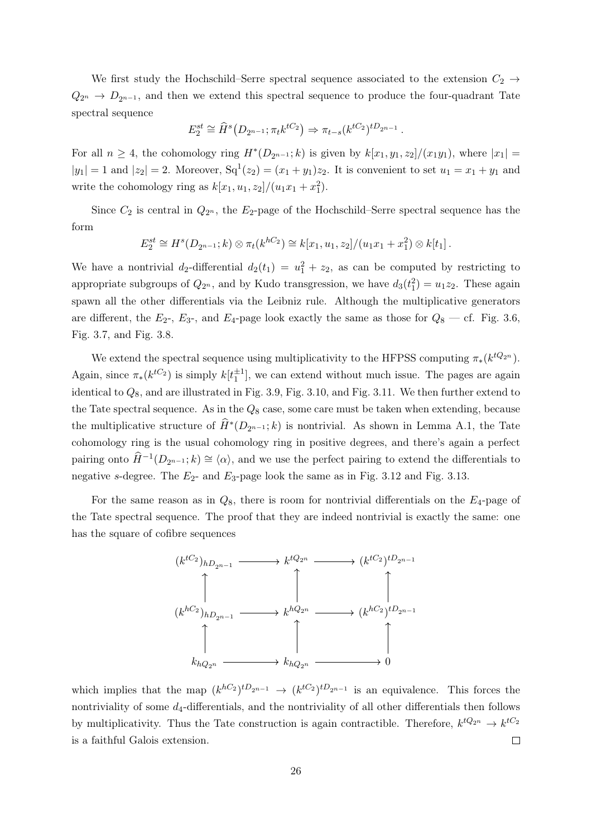We first study the Hochschild–Serre spectral sequence associated to the extension  $C_2 \rightarrow$  $Q_{2^n} \rightarrow D_{2^{n-1}}$ , and then we extend this spectral sequence to produce the four-quadrant Tate spectral sequence

$$
E_2^{st} \cong \widehat{H}^s(D_{2^{n-1}}; \pi_t k^{tC_2}) \Rightarrow \pi_{t-s}(k^{tC_2})^{tD_{2^{n-1}}}.
$$

For all  $n \geq 4$ , the cohomology ring  $H^*(D_{2^{n-1}}; k)$  is given by  $k[x_1, y_1, z_2]/(x_1y_1)$ , where  $|x_1| =$  $|y_1| = 1$  and  $|z_2| = 2$ . Moreover,  $Sq^1(z_2) = (x_1 + y_1)z_2$ . It is convenient to set  $u_1 = x_1 + y_1$  and write the cohomology ring as  $k[x_1, u_1, z_2]/(u_1x_1 + x_1^2)$ .

Since  $C_2$  is central in  $Q_{2^n}$ , the  $E_2$ -page of the Hochschild–Serre spectral sequence has the form

$$
E_2^{st} \cong H^s(D_{2^{n-1}}; k) \otimes \pi_t(k^{hC_2}) \cong k[x_1, u_1, z_2]/(u_1x_1 + x_1^2) \otimes k[t_1].
$$

We have a nontrivial  $d_2$ -differential  $d_2(t_1) = u_1^2 + z_2$ , as can be computed by restricting to appropriate subgroups of  $Q_{2^n}$ , and by Kudo transgression, we have  $d_3(t_1^2) = u_1 z_2$ . These again spawn all the other differentials via the Leibniz rule. Although the multiplicative generators are different, the  $E_2$ -,  $E_3$ -, and  $E_4$ -page look exactly the same as those for  $Q_8$  — cf. Fig. [3.6,](#page-19-0) Fig. [3.7,](#page-20-0) and Fig. [3.8.](#page-20-1)

We extend the spectral sequence using multiplicativity to the HFPSS computing  $\pi_*(k^{tQ_{2^n}})$ . Again, since  $\pi_*(k^{tC_2})$  is simply  $k[t_1^{\pm 1}]$ , we can extend without much issue. The pages are again identical to  $Q_8$ , and are illustrated in Fig. [3.9,](#page-20-2) Fig. [3.10,](#page-21-0) and Fig. [3.11.](#page-21-1) We then further extend to the Tate spectral sequence. As in the  $Q_8$  case, some care must be taken when extending, because the multiplicative structure of  $\widehat{H}^*(D_{2^{n-1}}; k)$  is nontrivial. As shown in Lemma [A.1,](#page-36-1) the Tate cohomology ring is the usual cohomology ring in positive degrees, and there's again a perfect pairing onto  $\widehat{H}^{-1}(D_{2^{n-1}}; k) \cong \langle \alpha \rangle$ , and we use the perfect pairing to extend the differentials to negative s-degree. The  $E_2$ - and  $E_3$ -page look the same as in Fig. [3.12](#page-22-0) and Fig. [3.13.](#page-23-0)

For the same reason as in  $Q_8$ , there is room for nontrivial differentials on the  $E_4$ -page of the Tate spectral sequence. The proof that they are indeed nontrivial is exactly the same: one has the square of cofibre sequences



<span id="page-25-0"></span>which implies that the map  $(k^{hC_2})^{tD_{2^{n-1}}}\to (k^{tC_2})^{tD_{2^{n-1}}}$  is an equivalence. This forces the nontriviality of some  $d_4$ -differentials, and the nontriviality of all other differentials then follows by multiplicativity. Thus the Tate construction is again contractible. Therefore,  $k^{tQ_{2^n}} \to k^{tC_2}$ is a faithful Galois extension.  $\Box$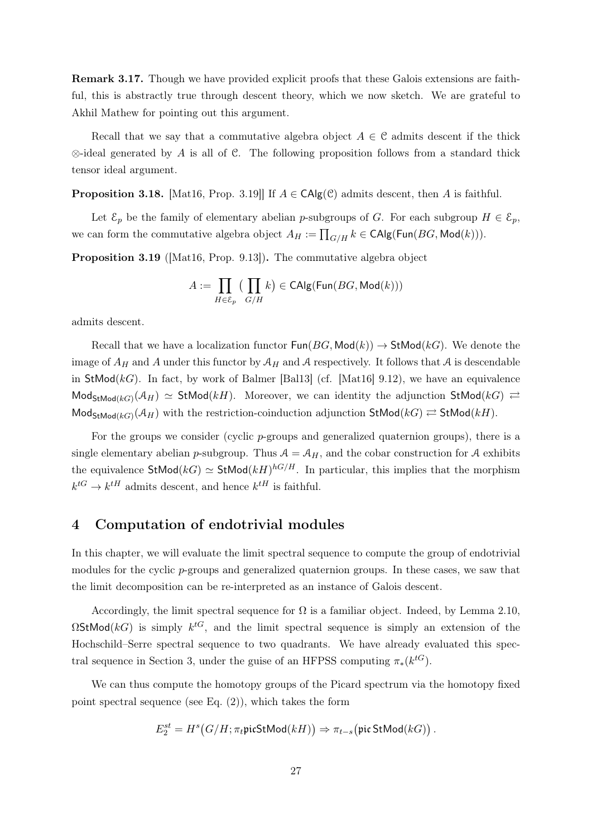Remark 3.17. Though we have provided explicit proofs that these Galois extensions are faithful, this is abstractly true through descent theory, which we now sketch. We are grateful to Akhil Mathew for pointing out this argument.

Recall that we say that a commutative algebra object  $A \in \mathcal{C}$  admits descent if the thick  $\otimes$ -ideal generated by A is all of C. The following proposition follows from a standard thick tensor ideal argument.

**Proposition 3.18.** [\[Mat16,](#page-44-8) Prop. 3.19]] If  $A \in CAlg(\mathcal{C})$  admits descent, then A is faithful.

Let  $\mathcal{E}_p$  be the family of elementary abelian p-subgroups of G. For each subgroup  $H \in \mathcal{E}_p$ , we can form the commutative algebra object  $A_H := \prod_{G/H} k \in \text{CAlg}(\text{Fun}(BG, \text{Mod}(k)))$ .

Proposition 3.19 ([\[Mat16,](#page-44-8) Prop. 9.13]). The commutative algebra object

$$
A := \prod_{H \in \mathcal{E}_p} \big( \prod_{G/H} k \big) \in \mathsf{CAlg}(\mathsf{Fun}(BG, \mathsf{Mod}(k)))
$$

admits descent.

Recall that we have a localization functor  $\text{Fun}(BG, \text{Mod}(k)) \to \text{StMod}(k)$ . We denote the image of  $A_H$  and A under this functor by  $A_H$  and A respectively. It follows that A is descendable in StMod( $kG$ ). In fact, by work of Balmer [\[Bal13\]](#page-44-9) (cf. [\[Mat16\]](#page-44-8) 9.12), we have an equivalence  $\mathsf{Mod}_{\mathsf{StMod}(kG)}(\mathcal{A}_H) \simeq \mathsf{StMod}(kH)$ . Moreover, we can identity the adjunction  $\mathsf{StMod}(kG) \rightleftarrows$  $\mathsf{Mod}_{\mathsf{StMod}(kG)}(\mathcal{A}_H)$  with the restriction-coinduction adjunction  $\mathsf{StMod}(kG) \rightleftarrows \mathsf{StMod}(kH)$ .

For the groups we consider (cyclic p-groups and generalized quaternion groups), there is a single elementary abelian p-subgroup. Thus  $A = A_H$ , and the cobar construction for A exhibits the equivalence  $\text{StMod}(k) \simeq \text{StMod}(k)^{hG/H}$ . In particular, this implies that the morphism  $k^{tG} \rightarrow k^{tH}$  admits descent, and hence  $k^{tH}$  is faithful.

# <span id="page-26-0"></span>4 Computation of endotrivial modules

In this chapter, we will evaluate the limit spectral sequence to compute the group of endotrivial modules for the cyclic p-groups and generalized quaternion groups. In these cases, we saw that the limit decomposition can be re-interpreted as an instance of Galois descent.

Accordingly, the limit spectral sequence for  $\Omega$  is a familiar object. Indeed, by Lemma [2.10,](#page-9-0)  $\Omega$ StMod(kG) is simply  $k^{tG}$ , and the limit spectral sequence is simply an extension of the Hochschild–Serre spectral sequence to two quadrants. We have already evaluated this spec-tral sequence in Section [3,](#page-11-0) under the guise of an HFPSS computing  $\pi_*(k^{tG})$ .

We can thus compute the homotopy groups of the Picard spectrum via the homotopy fixed point spectral sequence (see Eq.  $(2)$ ), which takes the form

$$
E_2^{st} = H^s\bigl(G/H; \pi_t \mathfrak{picStMod}(kH)\bigr) \Rightarrow \pi_{t-s}\bigl(\mathfrak{pic}\mathop{\mathrm{StMod}}\nolimits(kG)\bigr) \ .
$$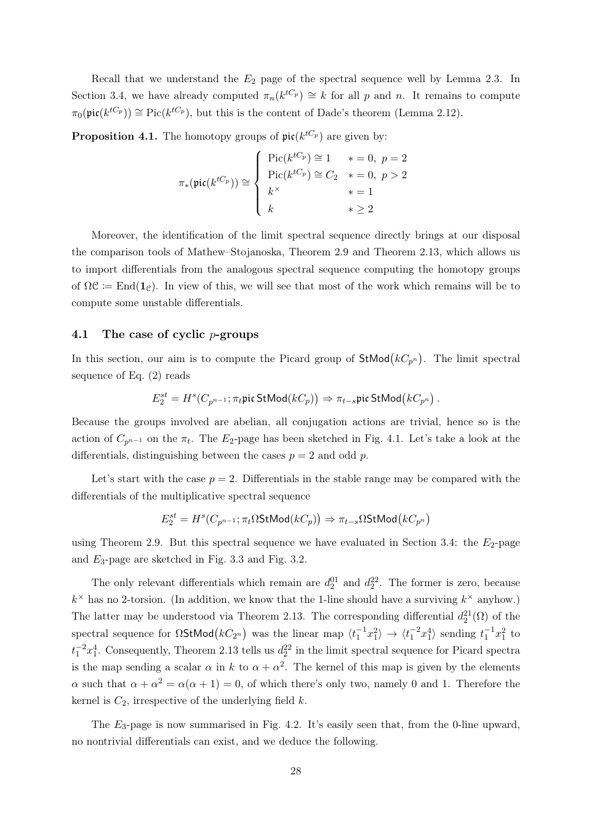Recall that we understand the  $E_2$  page of the spectral sequence well by Lemma [2.3.](#page-5-1) In Section [3.4,](#page-15-1) we have already computed  $\pi_n(k^{tC_p}) \cong k$  for all p and n. It remains to compute  $\pi_0(\text{pic}(k^{tC_p})) \cong \text{Pic}(k^{tC_p}),$  but this is the content of Dade's theorem (Lemma [2.12\)](#page-10-0).

**Proposition 4.1.** The homotopy groups of  $\text{pic}(k^{tC_p})$  are given by:

$$
\pi_*(\text{pic}(k^{tC_p})) \cong \begin{cases} \text{Pic}(k^{tC_p}) \cong 1 & * = 0, \ p = 2 \\ \text{Pic}(k^{tC_p}) \cong C_2 & * = 0, \ p > 2 \\ k^{\times} & * = 1 \\ k & * \ge 2 \end{cases}
$$

Moreover, the identification of the limit spectral sequence directly brings at our disposal the comparison tools of Mathew–Stojanoska, Theorem [2.9](#page-8-0) and Theorem [2.13,](#page-11-2) which allows us to import differentials from the analogous spectral sequence computing the homotopy groups of  $\Omega \mathcal{C} := \text{End}(\mathbf{1}_{\mathcal{C}})$ . In view of this, we will see that most of the work which remains will be to compute some unstable differentials.

## <span id="page-27-0"></span>4.1 The case of cyclic p-groups

In this section, our aim is to compute the Picard group of  $\mathsf{StMod}(kC_{p^n})$ . The limit spectral sequence of Eq. [\(2\)](#page-7-2) reads

$$
E_2^{st}=H^s(C_{p^{n-1}};\pi_t\mathfrak{pic}\mathop{\mathrm{StMod}}\nolimits(kC_p))\Rightarrow \pi_{t-s}\mathfrak{pic}\mathop{\mathrm{StMod}}\nolimits\bigl(kC_{p^n}\bigr)\,.
$$

Because the groups involved are abelian, all conjugation actions are trivial, hence so is the action of  $C_{p^{n-1}}$  on the  $\pi_t$ . The E<sub>2</sub>-page has been sketched in Fig. [4.1.](#page-28-0) Let's take a look at the differentials, distinguishing between the cases  $p = 2$  and odd p.

Let's start with the case  $p = 2$ . Differentials in the stable range may be compared with the differentials of the multiplicative spectral sequence

$$
E_2^{st} = H^s(C_{p^{n-1}}; \pi_t \Omega \text{StMod}(kC_p)) \Rightarrow \pi_{t-s} \Omega \text{StMod}(kC_{p^n})
$$

using Theorem [2.9.](#page-8-0) But this spectral sequence we have evaluated in Section [3.4:](#page-15-1) the  $E_2$ -page and  $E_3$ -page are sketched in Fig. [3.3](#page-17-0) and Fig. [3.2.](#page-16-1)

The only relevant differentials which remain are  $d_2^{01}$  and  $d_2^{22}$ . The former is zero, because  $k^{\times}$  has no 2-torsion. (In addition, we know that the 1-line should have a surviving  $k^{\times}$  anyhow.) The latter may be understood via Theorem [2.13.](#page-11-2) The corresponding differential  $d_2^{21}(\Omega)$  of the spectral sequence for  $\Omega$ StMod $(kC_{2^n})$  was the linear map  $\langle t_1^{-1}x_1^2 \rangle \to \langle t_1^{-2}x_1^4 \rangle$  sending  $t_1^{-1}x_1^2$  to  $t_1^{-2}x_1^4$ . Consequently, Theorem [2.13](#page-11-2) tells us  $d_2^{22}$  in the limit spectral sequence for Picard spectra is the map sending a scalar  $\alpha$  in k to  $\alpha + \alpha^2$ . The kernel of this map is given by the elements  $\alpha$  such that  $\alpha + \alpha^2 = \alpha(\alpha + 1) = 0$ , of which there's only two, namely 0 and 1. Therefore the kernel is  $C_2$ , irrespective of the underlying field k.

<span id="page-27-1"></span>The  $E_3$ -page is now summarised in Fig. [4.2.](#page-28-1) It's easily seen that, from the 0-line upward, no nontrivial differentials can exist, and we deduce the following.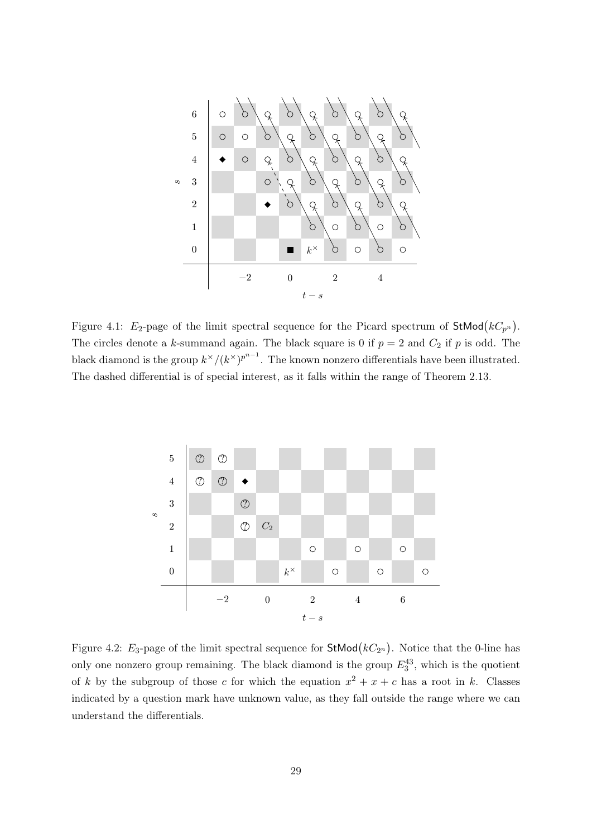

<span id="page-28-0"></span>Figure 4.1:  $E_2$ -page of the limit spectral sequence for the Picard spectrum of StMod $(kC_{p^n})$ . The circles denote a k-summand again. The black square is 0 if  $p = 2$  and  $C_2$  if p is odd. The black diamond is the group  $k^{\times}/(k^{\times})^{p^{n-1}}$ . The known nonzero differentials have been illustrated. The dashed differential is of special interest, as it falls within the range of Theorem [2.13.](#page-11-2)



<span id="page-28-1"></span>Figure 4.2:  $E_3$ -page of the limit spectral sequence for StMod $(kC_{2^n})$ . Notice that the 0-line has only one nonzero group remaining. The black diamond is the group  $E_3^{43}$ , which is the quotient of k by the subgroup of those c for which the equation  $x^2 + x + c$  has a root in k. Classes indicated by a question mark have unknown value, as they fall outside the range where we can understand the differentials.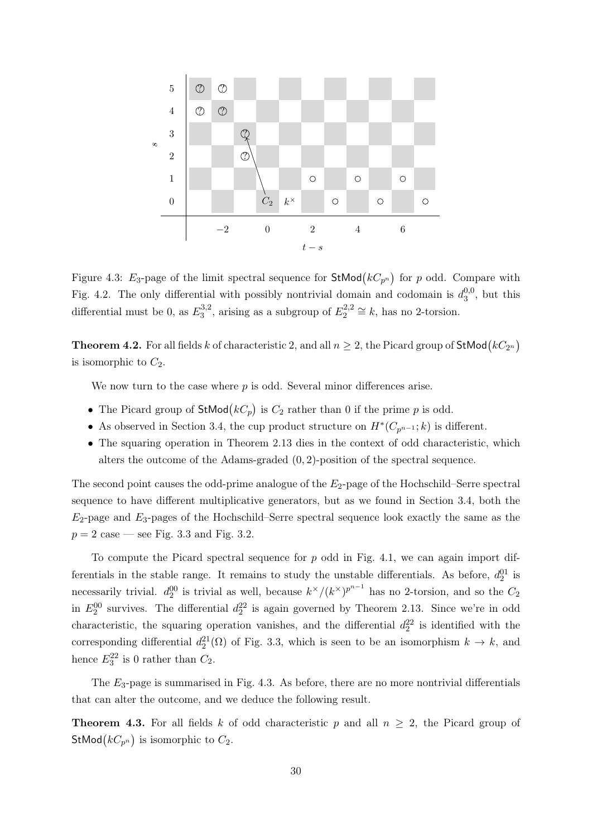

<span id="page-29-1"></span>Figure 4.3:  $E_3$ -page of the limit spectral sequence for  $\text{StMod}(kC_{p^n})$  for p odd. Compare with Fig. [4.2.](#page-28-1) The only differential with possibly nontrivial domain and codomain is  $d_3^{0,0}$  $v_3^{0,0}$ , but this differential must be 0, as  $E_3^{3,2}$  $3^{3,2}_{3}$ , arising as a subgroup of  $E_2^{2,2}$  $z_2^{2,2} \cong k$ , has no 2-torsion.

**Theorem 4.2.** For all fields  $k$  of characteristic 2, and all  $n \geq 2$ , the Picard group of  $\mathsf{StMod}\bigl(kC_{2^n}\bigr)$ is isomorphic to  $C_2$ .

We now turn to the case where  $p$  is odd. Several minor differences arise.

- The Picard group of  $\text{StMod}(kC_p)$  is  $C_2$  rather than 0 if the prime p is odd.
- As observed in Section [3.4,](#page-15-1) the cup product structure on  $H^*(C_{p^{n-1}}; k)$  is different.
- The squaring operation in Theorem [2.13](#page-11-2) dies in the context of odd characteristic, which alters the outcome of the Adams-graded  $(0, 2)$ -position of the spectral sequence.

The second point causes the odd-prime analogue of the  $E_2$ -page of the Hochschild–Serre spectral sequence to have different multiplicative generators, but as we found in Section [3.4,](#page-15-1) both the  $E_2$ -page and  $E_3$ -pages of the Hochschild–Serre spectral sequence look exactly the same as the  $p = 2$  case — see Fig. [3.3](#page-17-0) and Fig. [3.2.](#page-16-1)

To compute the Picard spectral sequence for  $p$  odd in Fig. [4.1,](#page-28-0) we can again import differentials in the stable range. It remains to study the unstable differentials. As before,  $d_2^{01}$  is necessarily trivial.  $d_2^{00}$  is trivial as well, because  $k^{\times}/(k^{\times})^{p^{n-1}}$  has no 2-torsion, and so the  $C_2$ in  $E_2^{00}$  survives. The differential  $d_2^{22}$  is again governed by Theorem [2.13.](#page-11-2) Since we're in odd characteristic, the squaring operation vanishes, and the differential  $d_2^{22}$  is identified with the corresponding differential  $d_2^2(\Omega)$  of Fig. [3.3,](#page-17-0) which is seen to be an isomorphism  $k \to k$ , and hence  $E_3^{22}$  is 0 rather than  $C_2$ .

The  $E_3$ -page is summarised in Fig. [4.3.](#page-29-1) As before, there are no more nontrivial differentials that can alter the outcome, and we deduce the following result.

<span id="page-29-0"></span>**Theorem 4.3.** For all fields k of odd characteristic p and all  $n \geq 2$ , the Picard group of StMod $(kC_{p^n})$  is isomorphic to  $C_2$ .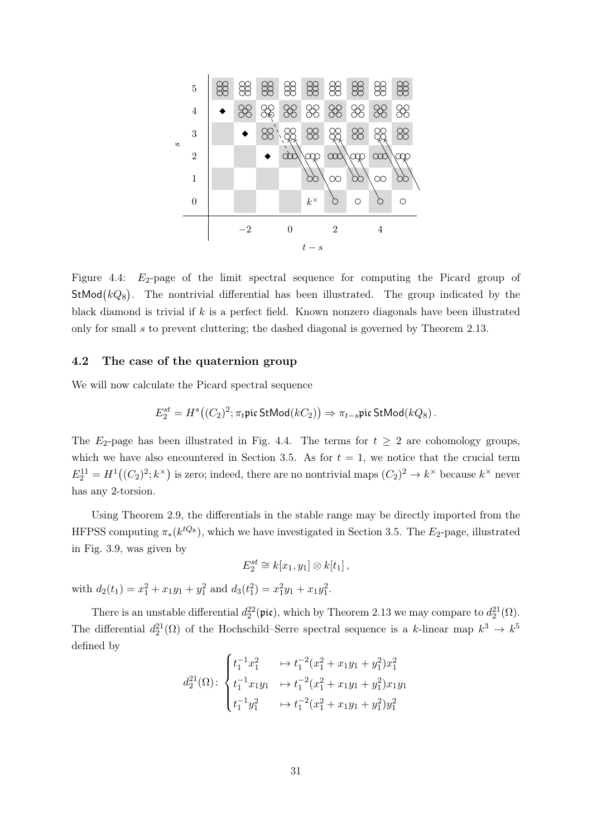

<span id="page-30-1"></span>Figure 4.4:  $E_2$ -page of the limit spectral sequence for computing the Picard group of StMod $(kQ_8)$ . The nontrivial differential has been illustrated. The group indicated by the black diamond is trivial if  $k$  is a perfect field. Known nonzero diagonals have been illustrated only for small s to prevent cluttering; the dashed diagonal is governed by Theorem [2.13.](#page-11-2)

## <span id="page-30-0"></span>4.2 The case of the quaternion group

We will now calculate the Picard spectral sequence

$$
E_2^{st} = H^s((C_2)^2; \pi_t \text{pic StMod}(kC_2)) \Rightarrow \pi_{t-s} \text{pic StMod}(kQ_8).
$$

The  $E_2$ -page has been illustrated in Fig. [4.4.](#page-30-1) The terms for  $t \geq 2$  are cohomology groups, which we have also encountered in Section [3.5.](#page-18-0) As for  $t = 1$ , we notice that the crucial term  $E_2^{11} = H^1((C_2)^2; k^{\times})$  is zero; indeed, there are no nontrivial maps  $(C_2)^2 \to k^{\times}$  because  $k^{\times}$  never has any 2-torsion.

Using Theorem [2.9,](#page-8-0) the differentials in the stable range may be directly imported from the HFPSS computing  $\pi_*(k^{tQ_8})$ , which we have investigated in Section [3.5.](#page-18-0) The  $E_2$ -page, illustrated in Fig. [3.9,](#page-20-2) was given by

$$
E_2^{st} \cong k[x_1, y_1] \otimes k[t_1],
$$

with  $d_2(t_1) = x_1^2 + x_1y_1 + y_1^2$  and  $d_3(t_1^2) = x_1^2y_1 + x_1y_1^2$ .

There is an unstable differential  $d_2^{22}(\text{pic})$ , which by Theorem [2.13](#page-11-2) we may compare to  $d_2^{21}(\Omega)$ . The differential  $d_2^{21}(\Omega)$  of the Hochschild–Serre spectral sequence is a k-linear map  $k^3 \to k^5$ defined by

$$
d_2^{21}(\Omega): \begin{cases} t_1^{-1}x_1^2 & \mapsto t_1^{-2}(x_1^2 + x_1y_1 + y_1^2)x_1^2 \\ t_1^{-1}x_1y_1 & \mapsto t_1^{-2}(x_1^2 + x_1y_1 + y_1^2)x_1y_1 \\ t_1^{-1}y_1^2 & \mapsto t_1^{-2}(x_1^2 + x_1y_1 + y_1^2)y_1^2 \end{cases}
$$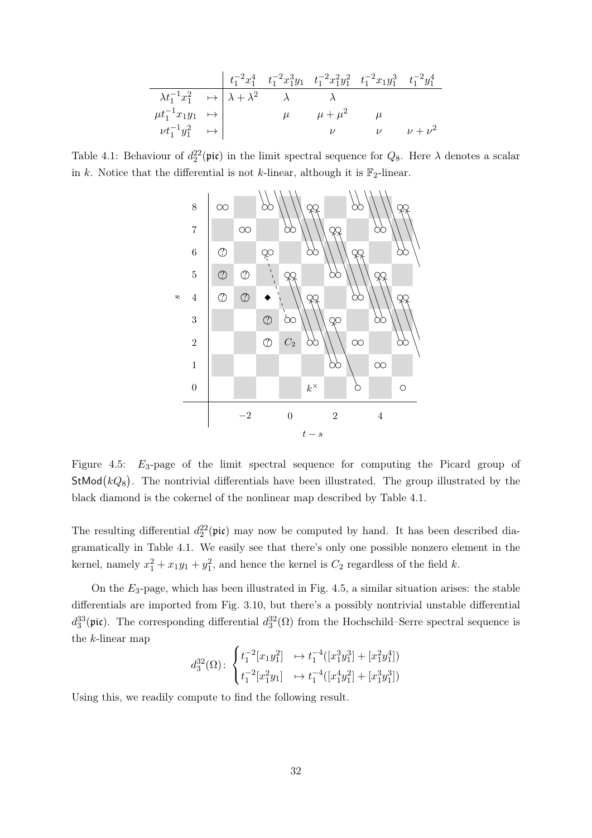$$
\begin{array}{c|ccccc}\n& t_1^{-2}x_1^4 & t_1^{-2}x_1^3y_1 & t_1^{-2}x_1^2y_1^2 & t_1^{-2}x_1y_1^3 & t_1^{-2}y_1^4 \\
\hline\n\lambda t_1^{-1}x_1^2 & \mapsto & \lambda + \lambda^2 & \lambda & \lambda & \\
\mu t_1^{-1}x_1y_1 & \mapsto & \mu & \mu + \mu^2 & \mu & \\
& \nu t_1^{-1}y_1^2 & \mapsto & \nu & \nu & \nu + \nu^2 & \\
& & \nu & \nu & \nu + \nu^2 & \n\end{array}
$$

<span id="page-31-0"></span>Table 4.1: Behaviour of  $d_2^{22}(\text{pic})$  in the limit spectral sequence for  $Q_8$ . Here  $\lambda$  denotes a scalar in k. Notice that the differential is not k-linear, although it is  $\mathbb{F}_2$ -linear.



<span id="page-31-1"></span>Figure 4.5: E3-page of the limit spectral sequence for computing the Picard group of StMod $(kQ_8)$ . The nontrivial differentials have been illustrated. The group illustrated by the black diamond is the cokernel of the nonlinear map described by Table [4.1.](#page-31-0)

The resulting differential  $d_2^2(\text{pic})$  may now be computed by hand. It has been described diagramatically in Table [4.1.](#page-31-0) We easily see that there's only one possible nonzero element in the kernel, namely  $x_1^2 + x_1y_1 + y_1^2$ , and hence the kernel is  $C_2$  regardless of the field k.

On the  $E_3$ -page, which has been illustrated in Fig. [4.5,](#page-31-1) a similar situation arises: the stable differentials are imported from Fig. [3.10,](#page-21-0) but there's a possibly nontrivial unstable differential  $d_3^{33}(\text{pic})$ . The corresponding differential  $d_3^{32}(\Omega)$  from the Hochschild–Serre spectral sequence is the k-linear map

$$
d_3^{32}(\Omega) \colon \begin{cases} t_1^{-2}[x_1y_1^2] & \mapsto t_1^{-4}([x_1^3y_1^3]+[x_1^2y_1^4]) \\ t_1^{-2}[x_1^2y_1] & \mapsto t_1^{-4}([x_1^4y_1^2]+[x_1^3y_1^3]) \end{cases}
$$

<span id="page-31-2"></span>Using this, we readily compute to find the following result.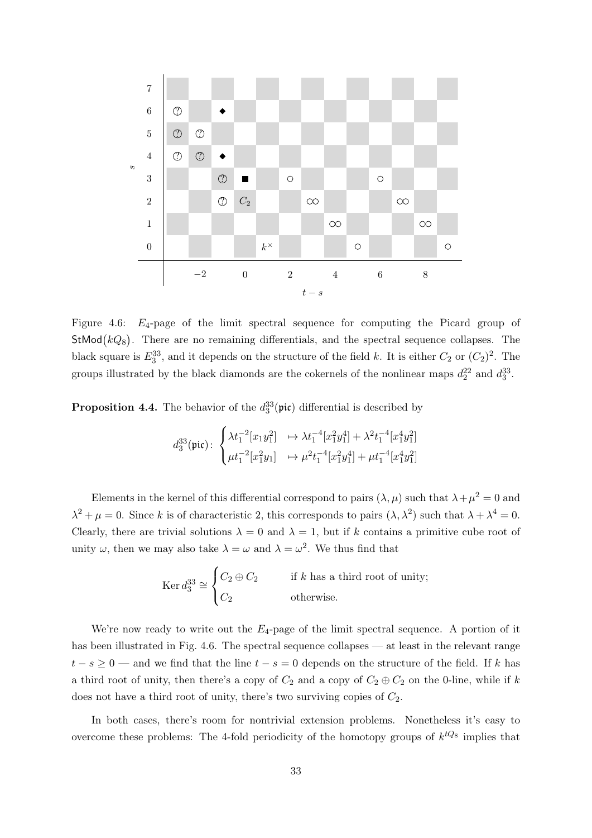

<span id="page-32-0"></span>Figure 4.6: E4-page of the limit spectral sequence for computing the Picard group of  $StMod(kQ_8)$ . There are no remaining differentials, and the spectral sequence collapses. The black square is  $E_3^{33}$ , and it depends on the structure of the field k. It is either  $C_2$  or  $(C_2)^2$ . The groups illustrated by the black diamonds are the cokernels of the nonlinear maps  $d_2^{22}$  and  $d_3^{33}$ .

**Proposition 4.4.** The behavior of the  $d_3^{33}(\pi \mathbf{i})$  differential is described by

$$
d_3^{33}(\text{pic}) : \begin{cases} \lambda t_1^{-2}[x_1y_1^2] & \mapsto \lambda t_1^{-4}[x_1^2y_1^4] + \lambda^2 t_1^{-4}[x_1^4y_1^2] \\ \mu t_1^{-2}[x_1^2y_1] & \mapsto \mu^2 t_1^{-4}[x_1^2y_1^4] + \mu t_1^{-4}[x_1^4y_1^2] \end{cases}
$$

Elements in the kernel of this differential correspond to pairs  $(\lambda, \mu)$  such that  $\lambda + \mu^2 = 0$  and  $\lambda^2 + \mu = 0$ . Since k is of characteristic 2, this corresponds to pairs  $(\lambda, \lambda^2)$  such that  $\lambda + \lambda^4 = 0$ . Clearly, there are trivial solutions  $\lambda = 0$  and  $\lambda = 1$ , but if k contains a primitive cube root of unity  $\omega$ , then we may also take  $\lambda = \omega$  and  $\lambda = \omega^2$ . We thus find that

$$
\operatorname{Ker} d_3^{33} \cong \begin{cases} C_2 \oplus C_2 & \text{if } k \text{ has a third root of unity;} \\ C_2 & \text{otherwise.} \end{cases}
$$

We're now ready to write out the  $E_4$ -page of the limit spectral sequence. A portion of it has been illustrated in Fig. [4.6.](#page-32-0) The spectral sequence collapses — at least in the relevant range  $t - s \geq 0$  — and we find that the line  $t - s = 0$  depends on the structure of the field. If k has a third root of unity, then there's a copy of  $C_2$  and a copy of  $C_2 \oplus C_2$  on the 0-line, while if k does not have a third root of unity, there's two surviving copies of  $C_2$ .

In both cases, there's room for nontrivial extension problems. Nonetheless it's easy to overcome these problems: The 4-fold periodicity of the homotopy groups of  $k^{tQ_8}$  implies that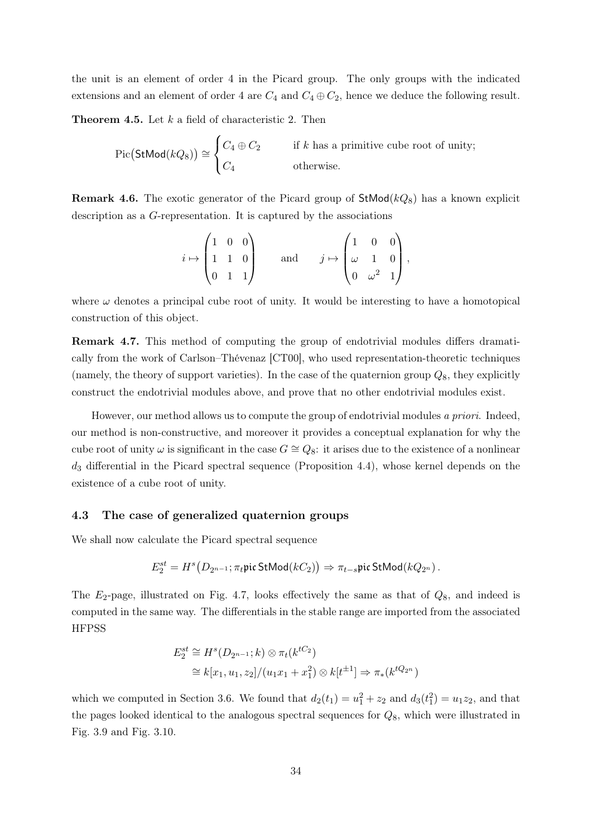the unit is an element of order 4 in the Picard group. The only groups with the indicated extensions and an element of order 4 are  $C_4$  and  $C_4 \oplus C_2$ , hence we deduce the following result.

<span id="page-33-1"></span>**Theorem 4.5.** Let  $k$  a field of characteristic 2. Then

$$
Pic(\text{StMod}(kQ_8)) \cong \begin{cases} C_4 \oplus C_2 & \text{if } k \text{ has a primitive cube root of unity;} \\ C_4 & \text{otherwise.} \end{cases}
$$

**Remark 4.6.** The exotic generator of the Picard group of  $\text{StMod}(kQ_8)$  has a known explicit description as a G-representation. It is captured by the associations

$$
i \mapsto \begin{pmatrix} 1 & 0 & 0 \\ 1 & 1 & 0 \\ 0 & 1 & 1 \end{pmatrix} \quad \text{and} \quad j \mapsto \begin{pmatrix} 1 & 0 & 0 \\ \omega & 1 & 0 \\ 0 & \omega^2 & 1 \end{pmatrix},
$$

where  $\omega$  denotes a principal cube root of unity. It would be interesting to have a homotopical construction of this object.

<span id="page-33-2"></span>Remark 4.7. This method of computing the group of endotrivial modules differs dramatically from the work of Carlson–Thévenaz [\[CT00\]](#page-44-1), who used representation-theoretic techniques (namely, the theory of support varieties). In the case of the quaternion group  $Q_8$ , they explicitly construct the endotrivial modules above, and prove that no other endotrivial modules exist.

However, our method allows us to compute the group of endotrivial modules a priori. Indeed, our method is non-constructive, and moreover it provides a conceptual explanation for why the cube root of unity  $\omega$  is significant in the case  $G \cong Q_8$ : it arises due to the existence of a nonlinear  $d_3$  differential in the Picard spectral sequence (Proposition [4.4\)](#page-31-2), whose kernel depends on the existence of a cube root of unity.

#### <span id="page-33-0"></span>4.3 The case of generalized quaternion groups

We shall now calculate the Picard spectral sequence

$$
E_2^{st}=H^s\big(D_{2^{n-1}};\pi_t\mathfrak{pic}\mathop{\mathrm{StMod}}\nolimits(kC_2)\big)\Rightarrow \pi_{t-s}\mathfrak{pic}\mathop{\mathrm{StMod}}\nolimits(kQ_{2^n})\,.
$$

The  $E_2$ -page, illustrated on Fig. [4.7,](#page-34-0) looks effectively the same as that of  $Q_8$ , and indeed is computed in the same way. The differentials in the stable range are imported from the associated **HFPSS** 

$$
E_2^{st} \cong H^s(D_{2^{n-1}}; k) \otimes \pi_t(k^{tC_2})
$$
  
\n
$$
\cong k[x_1, u_1, z_2]/(u_1x_1 + x_1^2) \otimes k[t^{\pm 1}] \Rightarrow \pi_*(k^{tQ_{2^n}})
$$

which we computed in Section [3.6.](#page-24-0) We found that  $d_2(t_1) = u_1^2 + z_2$  and  $d_3(t_1^2) = u_1 z_2$ , and that the pages looked identical to the analogous spectral sequences for  $Q_8$ , which were illustrated in Fig. [3.9](#page-20-2) and Fig. [3.10.](#page-21-0)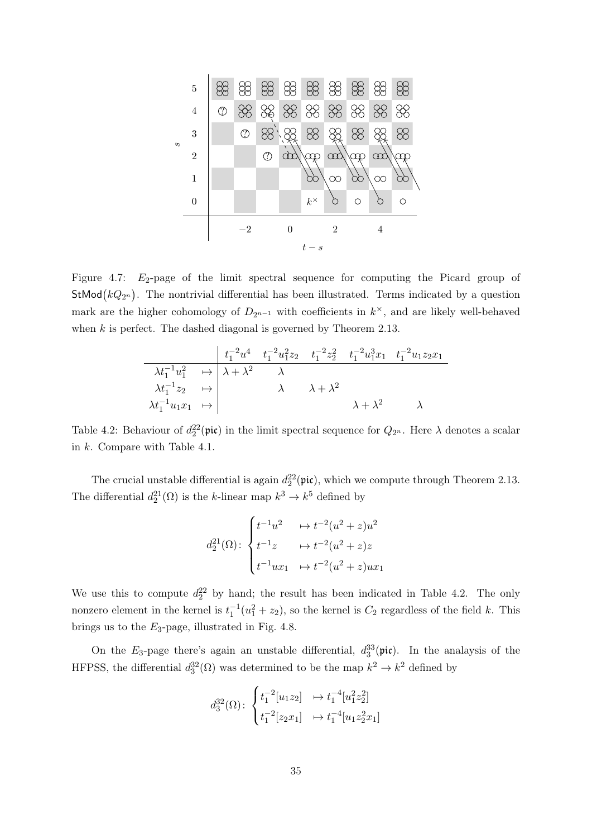

<span id="page-34-0"></span>Figure 4.7:  $E_2$ -page of the limit spectral sequence for computing the Picard group of **StMod** $(kQ_{2^n})$ . The nontrivial differential has been illustrated. Terms indicated by a question mark are the higher cohomology of  $D_{2^{n-1}}$  with coefficients in  $k^{\times}$ , and are likely well-behaved when  $k$  is perfect. The dashed diagonal is governed by Theorem [2.13.](#page-11-2)

$$
\begin{array}{c|cccc}\n & t_1^{-2}u^4 & t_1^{-2}u_1^2z_2 & t_1^{-2}z_2^2 & t_1^{-2}u_1^3x_1 & t_1^{-2}u_1z_2x_1 \\
\hline\n\lambda t_1^{-1}u_1^2 & \mapsto & \lambda + \lambda^2 & \lambda & \\
\lambda t_1^{-1}z_2 & \mapsto & & \lambda & \lambda + \lambda^2 & \\
\lambda t_1^{-1}u_1x_1 & \mapsto & & & \lambda + \lambda^2 & \lambda\n\end{array}
$$

<span id="page-34-1"></span>Table 4.2: Behaviour of  $d_2^2(\text{pic})$  in the limit spectral sequence for  $Q_{2^n}$ . Here  $\lambda$  denotes a scalar in k. Compare with Table [4.1.](#page-31-0)

The crucial unstable differential is again  $d_2^{22}(\text{pic})$ , which we compute through Theorem [2.13.](#page-11-2) The differential  $d_2^{21}(\Omega)$  is the k-linear map  $k^3 \to k^5$  defined by

$$
d_2^{21}(\Omega): \begin{cases} t^{-1}u^2 & \mapsto t^{-2}(u^2+z)u^2 \\ t^{-1}z & \mapsto t^{-2}(u^2+z)z \\ t^{-1}ux_1 & \mapsto t^{-2}(u^2+z)ux_1 \end{cases}
$$

We use this to compute  $d_2^2$  by hand; the result has been indicated in Table [4.2.](#page-34-1) The only nonzero element in the kernel is  $t_1^{-1}(u_1^2 + z_2)$ , so the kernel is  $C_2$  regardless of the field k. This brings us to the  $E_3$ -page, illustrated in Fig. [4.8.](#page-35-2)

On the  $E_3$ -page there's again an unstable differential,  $d_3^{33}(\text{pic})$ . In the analaysis of the HFPSS, the differential  $d_3^3(\Omega)$  was determined to be the map  $k^2 \to k^2$  defined by

$$
d_3^{32}(\Omega) \colon \begin{cases} t_1^{-2}[u_1z_2] & \mapsto t_1^{-4}[u_1^2z_2^2] \\ t_1^{-2}[z_2x_1] & \mapsto t_1^{-4}[u_1z_2^2x_1] \end{cases}
$$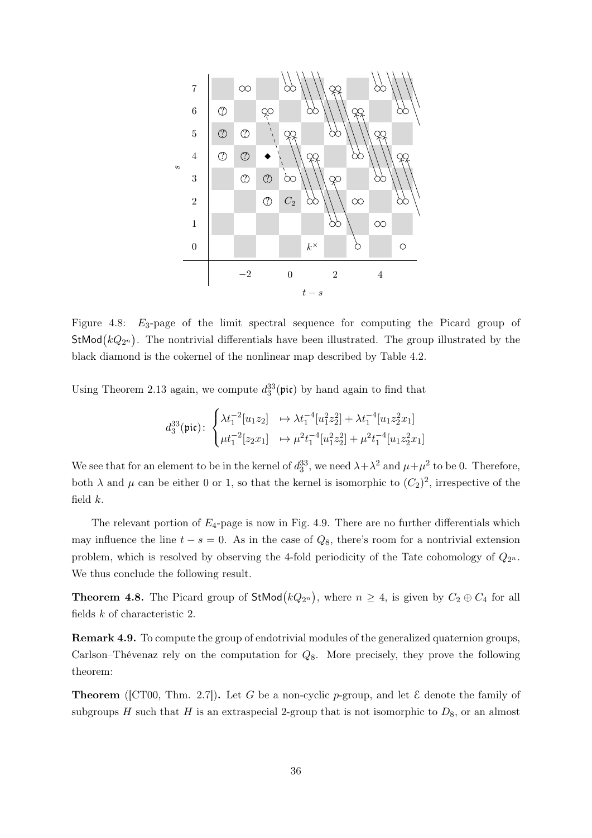

<span id="page-35-2"></span>Figure 4.8:  $E_3$ -page of the limit spectral sequence for computing the Picard group of **StMod** $(kQ_{2^n})$ . The nontrivial differentials have been illustrated. The group illustrated by the black diamond is the cokernel of the nonlinear map described by Table [4.2.](#page-34-1)

Using Theorem [2.13](#page-11-2) again, we compute  $d_3^{33}(\text{pic})$  by hand again to find that

$$
d_3^{33}(\text{pic})\colon\begin{cases} \lambda t_1^{-2}[u_1z_2] &\mapsto \lambda t_1^{-4}[u_1^2z_2^2]+\lambda t_1^{-4}[u_1z_2^2x_1] \\ \mu t_1^{-2}[z_2x_1] &\mapsto \mu^2 t_1^{-4}[u_1^2z_2^2]+\mu^2 t_1^{-4}[u_1z_2^2x_1] \end{cases}
$$

We see that for an element to be in the kernel of  $d_3^{33}$ , we need  $\lambda + \lambda^2$  and  $\mu + \mu^2$  to be 0. Therefore, both  $\lambda$  and  $\mu$  can be either 0 or 1, so that the kernel is isomorphic to  $(C_2)^2$ , irrespective of the field  $k$ .

The relevant portion of  $E_4$ -page is now in Fig. [4.9.](#page-36-2) There are no further differentials which may influence the line  $t - s = 0$ . As in the case of  $Q_8$ , there's room for a nontrivial extension problem, which is resolved by observing the 4-fold periodicity of the Tate cohomology of  $Q_{2^n}$ . We thus conclude the following result.

<span id="page-35-0"></span>**Theorem 4.8.** The Picard group of  $\text{StMod}(kQ_{2^n})$ , where  $n \geq 4$ , is given by  $C_2 \oplus C_4$  for all fields k of characteristic 2.

<span id="page-35-1"></span>Remark 4.9. To compute the group of endotrivial modules of the generalized quaternion groups, Carlson–Thévenaz rely on the computation for  $Q_8$ . More precisely, they prove the following theorem:

**Theorem** ([\[CT00,](#page-44-1) Thm. 2.7]). Let G be a non-cyclic p-group, and let  $\mathcal{E}$  denote the family of subgroups H such that H is an extraspecial 2-group that is not isomorphic to  $D_8$ , or an almost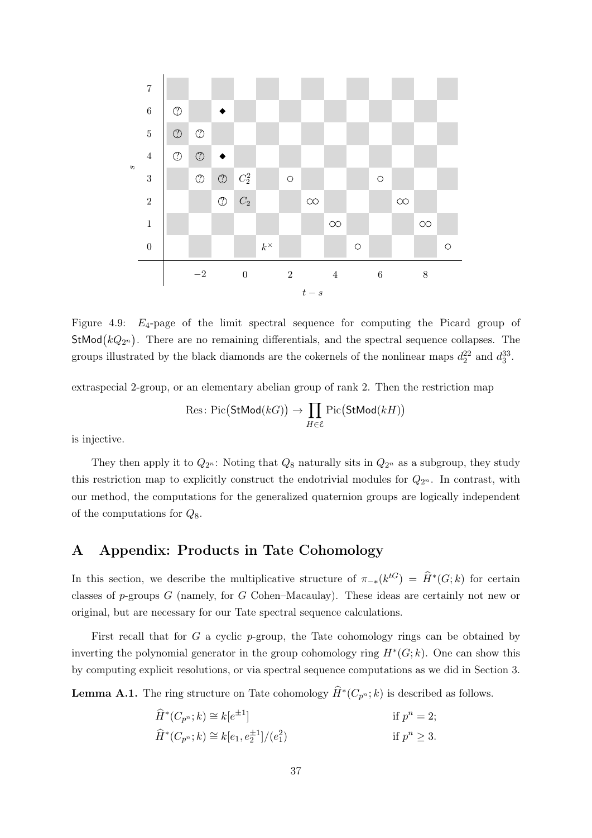

<span id="page-36-2"></span>Figure 4.9:  $E_4$ -page of the limit spectral sequence for computing the Picard group of StMod $(kQ_{2^n})$ . There are no remaining differentials, and the spectral sequence collapses. The groups illustrated by the black diamonds are the cokernels of the nonlinear maps  $d_2^{22}$  and  $d_3^{33}$ .

extraspecial 2-group, or an elementary abelian group of rank 2. Then the restriction map

$$
\text{Res}\colon \text{Pic}\big(\text{StMod}(kG)\big) \to \prod_{H \in \mathcal{E}} \text{Pic}\big(\text{StMod}(kH)\big)
$$

is injective.

They then apply it to  $Q_{2^n}$ : Noting that  $Q_8$  naturally sits in  $Q_{2^n}$  as a subgroup, they study this restriction map to explicitly construct the endotrivial modules for  $Q_{2^n}$ . In contrast, with our method, the computations for the generalized quaternion groups are logically independent of the computations for  $Q_8$ .

# <span id="page-36-0"></span>A Appendix: Products in Tate Cohomology

In this section, we describe the multiplicative structure of  $\pi_{-*}(k^{tG}) = \widehat{H}^*(G; k)$  for certain classes of p-groups G (namely, for G Cohen–Macaulay). These ideas are certainly not new or original, but are necessary for our Tate spectral sequence calculations.

First recall that for  $G$  a cyclic  $p$ -group, the Tate cohomology rings can be obtained by inverting the polynomial generator in the group cohomology ring  $H^*(G;k)$ . One can show this by computing explicit resolutions, or via spectral sequence computations as we did in Section [3.](#page-11-0)

<span id="page-36-1"></span>**Lemma A.1.** The ring structure on Tate cohomology  $\widehat{H}^*(C_{p^n}; k)$  is described as follows.

$$
\widehat{H}^*(C_{p^n}; k) \cong k[e^{\pm 1}] \qquad \text{if } p^n = 2; \\
\widehat{H}^*(C_{p^n}; k) \cong k[e_1, e_2^{\pm 1}]/(e_1^2) \qquad \text{if } p^n \ge 3.
$$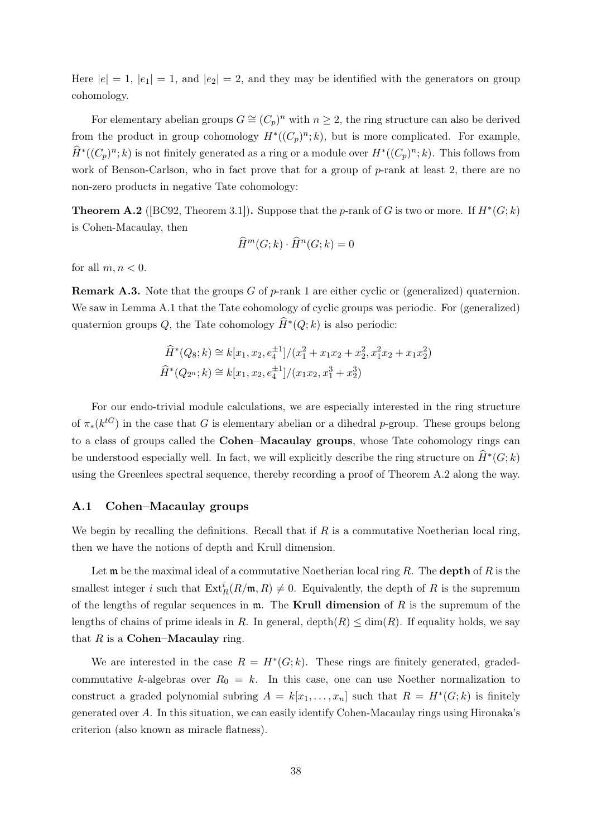Here  $|e| = 1$ ,  $|e_1| = 1$ , and  $|e_2| = 2$ , and they may be identified with the generators on group cohomology.

For elementary abelian groups  $G \cong (C_p)^n$  with  $n \geq 2$ , the ring structure can also be derived from the product in group cohomology  $H^*((C_p)^n; k)$ , but is more complicated. For example,  $\widehat{H}^*((C_p)^n; k)$  is not finitely generated as a ring or a module over  $H^*((C_p)^n; k)$ . This follows from work of Benson-Carlson, who in fact prove that for a group of p-rank at least 2, there are no non-zero products in negative Tate cohomology:

<span id="page-37-1"></span>**Theorem A.2** ([\[BC92,](#page-44-14) Theorem 3.1]). Suppose that the *p*-rank of G is two or more. If  $H^*(G;k)$ is Cohen-Macaulay, then

$$
\widehat{H}^m(G;k) \cdot \widehat{H}^n(G;k) = 0
$$

for all  $m, n < 0$ .

**Remark A.3.** Note that the groups G of p-rank 1 are either cyclic or (generalized) quaternion. We saw in Lemma [A.1](#page-36-1) that the Tate cohomology of cyclic groups was periodic. For (generalized) quaternion groups  $Q$ , the Tate cohomology  $\widehat{H}^*(Q; k)$  is also periodic:

$$
\widehat{H}^*(Q_8; k) \cong k[x_1, x_2, e_4^{\pm 1}]/(x_1^2 + x_1x_2 + x_2^2, x_1^2x_2 + x_1x_2^2)
$$
  

$$
\widehat{H}^*(Q_{2^n}; k) \cong k[x_1, x_2, e_4^{\pm 1}]/(x_1x_2, x_1^3 + x_2^3)
$$

For our endo-trivial module calculations, we are especially interested in the ring structure of  $\pi_*(k^{tG})$  in the case that G is elementary abelian or a dihedral p-group. These groups belong to a class of groups called the Cohen–Macaulay groups, whose Tate cohomology rings can be understood especially well. In fact, we will explicitly describe the ring structure on  $\widehat{H}^*(G;k)$ using the Greenlees spectral sequence, thereby recording a proof of Theorem [A.2](#page-37-1) along the way.

#### <span id="page-37-0"></span>A.1 Cohen–Macaulay groups

We begin by recalling the definitions. Recall that if  $R$  is a commutative Noetherian local ring, then we have the notions of depth and Krull dimension.

Let  $\mathfrak m$  be the maximal ideal of a commutative Noetherian local ring R. The **depth** of R is the smallest integer i such that  $\text{Ext}^i_R(R/\mathfrak{m}, R) \neq 0$ . Equivalently, the depth of R is the supremum of the lengths of regular sequences in  $m$ . The Krull dimension of R is the supremum of the lengths of chains of prime ideals in R. In general, depth $(R) \leq \dim(R)$ . If equality holds, we say that  $R$  is a **Cohen–Macaulay** ring.

<span id="page-37-2"></span>We are interested in the case  $R = H^*(G;k)$ . These rings are finitely generated, gradedcommutative k-algebras over  $R_0 = k$ . In this case, one can use Noether normalization to construct a graded polynomial subring  $A = k[x_1, \ldots, x_n]$  such that  $R = H^*(G; k)$  is finitely generated over  $A$ . In this situation, we can easily identify Cohen-Macaulay rings using Hironaka's criterion (also known as miracle flatness).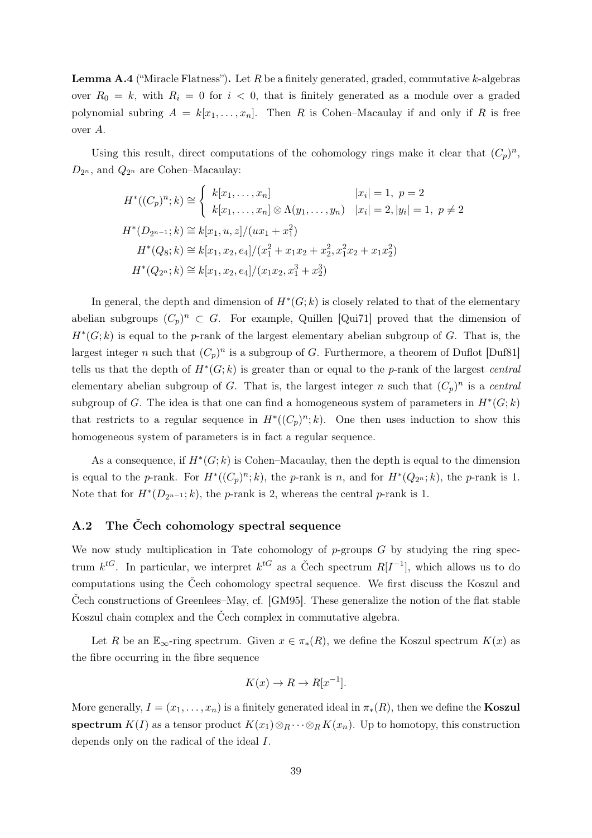**Lemma A.4** ("Miracle Flatness"). Let  $R$  be a finitely generated, graded, commutative  $k$ -algebras over  $R_0 = k$ , with  $R_i = 0$  for  $i < 0$ , that is finitely generated as a module over a graded polynomial subring  $A = k[x_1, \ldots, x_n]$ . Then R is Cohen–Macaulay if and only if R is free over A.

Using this result, direct computations of the cohomology rings make it clear that  $(C_p)^n$ ,  $D_{2^n}$ , and  $Q_{2^n}$  are Cohen–Macaulay:

$$
H^*( (C_p)^n; k) \cong \begin{cases} k[x_1, \dots, x_n] & |x_i| = 1, \ p = 2 \\ k[x_1, \dots, x_n] \otimes \Lambda(y_1, \dots, y_n) & |x_i| = 2, |y_i| = 1, \ p \neq 2 \end{cases}
$$
  

$$
H^*(D_{2^{n-1}}; k) \cong k[x_1, u, z]/(ux_1 + x_1^2)
$$
  

$$
H^*(Q_8; k) \cong k[x_1, x_2, e_4]/(x_1^2 + x_1x_2 + x_2^2, x_1^2x_2 + x_1x_2^2)
$$
  

$$
H^*(Q_{2^n}; k) \cong k[x_1, x_2, e_4]/(x_1x_2, x_1^3 + x_2^3)
$$

In general, the depth and dimension of  $H^*(G;k)$  is closely related to that of the elementary abelian subgroups  $(C_p)^n \subset G$ . For example, Quillen [\[Qui71\]](#page-44-13) proved that the dimension of  $H^*(G;k)$  is equal to the p-rank of the largest elementary abelian subgroup of G. That is, the largest integer n such that  $(C_p)^n$  is a subgroup of G. Furthermore, a theorem of Duflot [\[Duf81\]](#page-44-15) tells us that the depth of  $H^*(G;k)$  is greater than or equal to the p-rank of the largest central elementary abelian subgroup of G. That is, the largest integer n such that  $(C_p)^n$  is a central subgroup of G. The idea is that one can find a homogeneous system of parameters in  $H^*(G;k)$ that restricts to a regular sequence in  $H^*((C_p)^n; k)$ . One then uses induction to show this homogeneous system of parameters is in fact a regular sequence.

As a consequence, if  $H^*(G;k)$  is Cohen–Macaulay, then the depth is equal to the dimension is equal to the p-rank. For  $H^*((C_p)^n; k)$ , the p-rank is n, and for  $H^*(Q_{2^n}; k)$ , the p-rank is 1. Note that for  $H^*(D_{2^{n-1}}; k)$ , the *p*-rank is 2, whereas the central *p*-rank is 1.

# <span id="page-38-0"></span>A.2 The Čech cohomology spectral sequence

We now study multiplication in Tate cohomology of  $p$ -groups  $G$  by studying the ring spectrum  $k^{tG}$ . In particular, we interpret  $k^{tG}$  as a Čech spectrum  $R[I^{-1}]$ , which allows us to do computations using the Čech cohomology spectral sequence. We first discuss the Koszul and Čech constructions of Greenlees–May, cf. [\[GM95\]](#page-44-16). These generalize the notion of the flat stable Koszul chain complex and the Čech complex in commutative algebra.

Let R be an  $\mathbb{E}_{\infty}$ -ring spectrum. Given  $x \in \pi_*(R)$ , we define the Koszul spectrum  $K(x)$  as the fibre occurring in the fibre sequence

$$
K(x) \to R \to R[x^{-1}].
$$

More generally,  $I = (x_1, \ldots, x_n)$  is a finitely generated ideal in  $\pi_*(R)$ , then we define the **Koszul** spectrum  $K(I)$  as a tensor product  $K(x_1) \otimes_R \cdots \otimes_R K(x_n)$ . Up to homotopy, this construction depends only on the radical of the ideal I.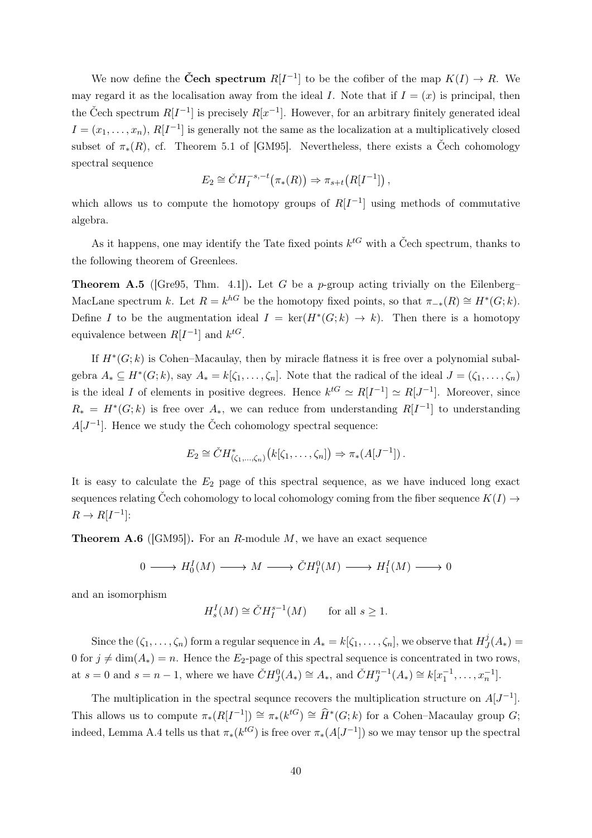We now define the **Čech spectrum**  $R[I^{-1}]$  to be the cofiber of the map  $K(I) \to R$ . We may regard it as the localisation away from the ideal I. Note that if  $I = (x)$  is principal, then the Čech spectrum  $R[I^{-1}]$  is precisely  $R[x^{-1}]$ . However, for an arbitrary finitely generated ideal  $I = (x_1, \ldots, x_n)$ ,  $R[I^{-1}]$  is generally not the same as the localization at a multiplicatively closed subset of  $\pi_*(R)$ , cf. Theorem 5.1 of [\[GM95\]](#page-44-16). Nevertheless, there exists a Čech cohomology spectral sequence

$$
E_2 \cong \check{C}H_I^{-s,-t}\big(\pi_*(R)\big) \Rightarrow \pi_{s+t}\big(R[I^{-1}]\big)\,,
$$

which allows us to compute the homotopy groups of  $R[I^{-1}]$  using methods of commutative algebra.

As it happens, one may identify the Tate fixed points  $k^{tG}$  with a Čech spectrum, thanks to the following theorem of Greenlees.

<span id="page-39-0"></span>**Theorem A.5** ([\[Gre95,](#page-44-17) Thm. 4.1]). Let G be a p-group acting trivially on the Eilenberg– MacLane spectrum k. Let  $R = k^{h}$  be the homotopy fixed points, so that  $\pi_{-*}(R) \cong H^*(G;k)$ . Define I to be the augmentation ideal  $I = \ker(H^*(G; k) \to k)$ . Then there is a homotopy equivalence between  $R[I^{-1}]$  and  $k^{tG}$ .

If  $H^*(G;k)$  is Cohen–Macaulay, then by miracle flatness it is free over a polynomial subalgebra  $A_* \subseteq H^*(G;k)$ , say  $A_* = k[\zeta_1,\ldots,\zeta_n]$ . Note that the radical of the ideal  $J = (\zeta_1,\ldots,\zeta_n)$ is the ideal I of elements in positive degrees. Hence  $k^{tG} \simeq R[I^{-1}] \simeq R[J^{-1}]$ . Moreover, since  $R_* = H^*(G;k)$  is free over  $A_*$ , we can reduce from understanding  $R[I^{-1}]$  to understanding  $A[J^{-1}]$ . Hence we study the Čech cohomology spectral sequence:

$$
E_2 \cong \check{C}H^*_{(\zeta_1,\ldots,\zeta_n)}(k[\zeta_1,\ldots,\zeta_n]) \Rightarrow \pi_*(A[J^{-1}])\,.
$$

It is easy to calculate the  $E_2$  page of this spectral sequence, as we have induced long exact sequences relating Čech cohomology to local cohomology coming from the fiber sequence  $K(I) \rightarrow$  $R \to R[I^{-1}]:$ 

**Theorem A.6** ([\[GM95\]](#page-44-16)). For an R-module M, we have an exact sequence

$$
0 \longrightarrow H_0^I(M) \longrightarrow M \longrightarrow \check{C}H_1^0(M) \longrightarrow H_1^I(M) \longrightarrow 0
$$

and an isomorphism

$$
H_s^I(M) \cong \check{C}H_I^{s-1}(M) \qquad \text{for all } s \ge 1.
$$

Since the  $(\zeta_1,\ldots,\zeta_n)$  form a regular sequence in  $A_*=k[\zeta_1,\ldots,\zeta_n]$ , we observe that  $H^j_J$  $J(A_*) =$ 0 for  $j \neq \dim(A_*) = n$ . Hence the E<sub>2</sub>-page of this spectral sequence is concentrated in two rows, at  $s = 0$  and  $s = n - 1$ , where we have  $\check{C}H_J^0(A_*) \cong A_*,$  and  $\check{C}H_J^{n-1}(A_*) \cong k[x_1^{-1}, \ldots, x_n^{-1}].$ 

The multiplication in the spectral sequnce recovers the multiplication structure on  $A[J^{-1}]$ . This allows us to compute  $\pi_*(R[I^{-1}]) \cong \pi_*(k^{tG}) \cong \widehat{H}^*(G;k)$  for a Cohen–Macaulay group  $G;$ indeed, Lemma [A.4](#page-37-2) tells us that  $\pi_*(k^{tG})$  is free over  $\pi_*(A[J^{-1}])$  so we may tensor up the spectral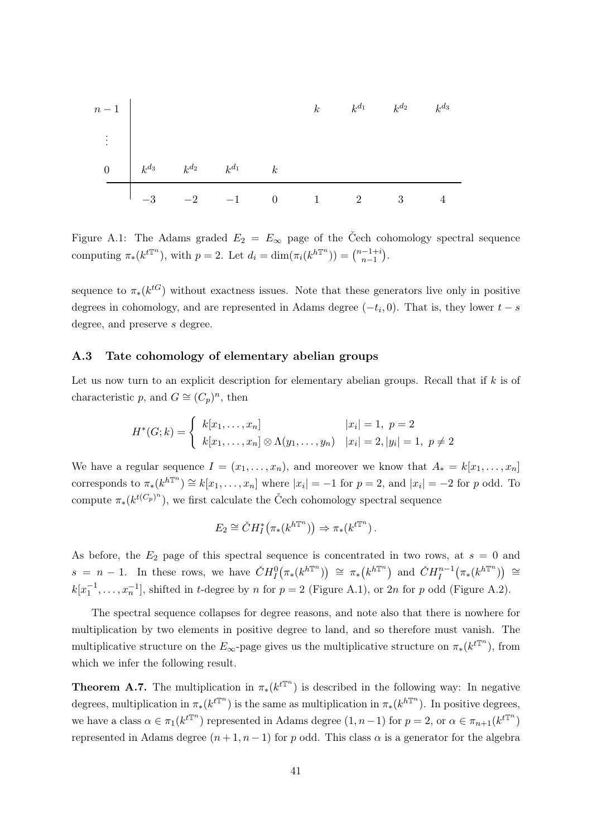| $n-1$ | $k$       | $k^{d_1}$ | $k^{d_2}$ | $k^{d_3}$ |   |   |   |
|-------|-----------|-----------|-----------|-----------|---|---|---|
| 0     | $k^{d_3}$ | $k^{d_2}$ | $k^{d_1}$ | $k$       |   |   |   |
| -3    | -2        | -1        | 0         | 1         | 2 | 3 | 4 |

<span id="page-40-1"></span>Figure A.1: The Adams graded  $E_2 = E_{\infty}$  page of the Čech cohomology spectral sequence computing  $\pi_*(k^{t\mathbb{T}^n})$ , with  $p=2$ . Let  $d_i = \dim(\pi_i(k^{h\mathbb{T}^n})) = \binom{n-1+i}{n-1}$  $\binom{n-1+i}{n-1}$ .

sequence to  $\pi_*(k^{tG})$  without exactness issues. Note that these generators live only in positive degrees in cohomology, and are represented in Adams degree  $(-t_i, 0)$ . That is, they lower  $t - s$ degree, and preserve s degree.

#### <span id="page-40-0"></span>A.3 Tate cohomology of elementary abelian groups

Let us now turn to an explicit description for elementary abelian groups. Recall that if  $k$  is of characteristic p, and  $G \cong (C_p)^n$ , then

$$
H^*(G;k) = \begin{cases} k[x_1, \dots, x_n] & |x_i| = 1, \ p = 2 \\ k[x_1, \dots, x_n] \otimes \Lambda(y_1, \dots, y_n) & |x_i| = 2, |y_i| = 1, \ p \neq 2 \end{cases}
$$

We have a regular sequence  $I = (x_1, \ldots, x_n)$ , and moreover we know that  $A_* = k[x_1, \ldots, x_n]$ corresponds to  $\pi_*(k^{h\mathbb{T}^n}) \cong k[x_1,\ldots,x_n]$  where  $|x_i| = -1$  for  $p = 2$ , and  $|x_i| = -2$  for p odd. To compute  $\pi_*(k^{t(C_p)^n})$ , we first calculate the Čech cohomology spectral sequence

$$
E_2 \cong \check{C}H_I^*\big(\pi_*(k^{h\mathbb{T}^n})\big) \Rightarrow \pi_*(k^{t\mathbb{T}^n}).
$$

As before, the  $E_2$  page of this spectral sequence is concentrated in two rows, at  $s = 0$  and  $s = n - 1$ . In these rows, we have  $CH_I^0(\pi_*(k^{h\mathbb{T}^n})) \cong \pi_*(k^{h\mathbb{T}^n})$  and  $CH_I^{n-1}(\pi_*(k^{h\mathbb{T}^n})) \cong$  $k[x_1^{-1},...,x_n^{-1}]$ , shifted in t-degree by n for  $p=2$  (Figure [A.1\)](#page-40-1), or 2n for p odd (Figure [A.2\)](#page-41-0).

The spectral sequence collapses for degree reasons, and note also that there is nowhere for multiplication by two elements in positive degree to land, and so therefore must vanish. The multiplicative structure on the  $E_{\infty}$ -page gives us the multiplicative structure on  $\pi_*(k^{t})$ , from which we infer the following result.

**Theorem A.7.** The multiplication in  $\pi_*(k^{t\mathbb{T}^n})$  is described in the following way: In negative degrees, multiplication in  $\pi_*(k^{t\mathbb{T}^n})$  is the same as multiplication in  $\pi_*(k^{h\mathbb{T}^n})$ . In positive degrees, we have a class  $\alpha \in \pi_1(k^{t\mathbb{T}^n})$  represented in Adams degree  $(1, n-1)$  for  $p = 2$ , or  $\alpha \in \pi_{n+1}(k^{t\mathbb{T}^n})$ represented in Adams degree  $(n+1, n-1)$  for p odd. This class  $\alpha$  is a generator for the algebra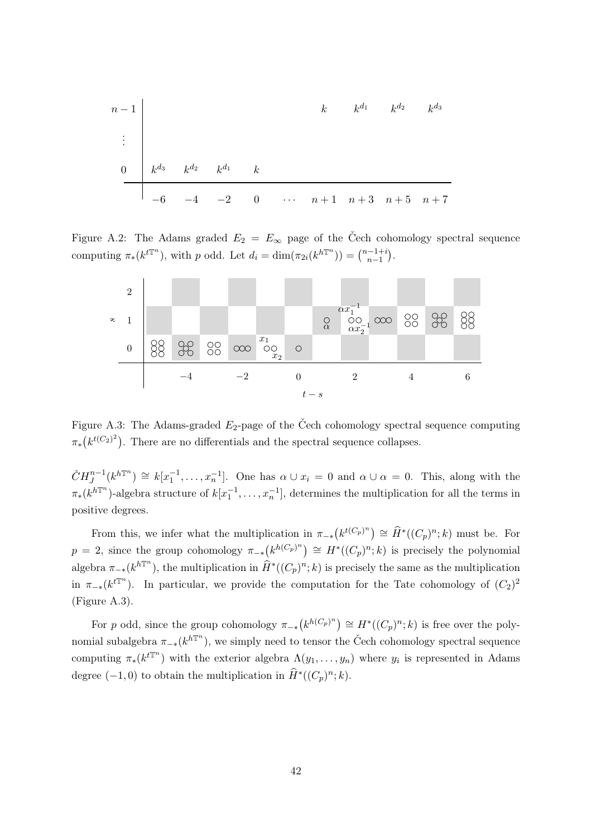n − 1 k k <sup>d</sup><sup>1</sup> k <sup>d</sup><sup>2</sup> k d3 . . . 0 k <sup>d</sup><sup>3</sup> k <sup>d</sup><sup>2</sup> k <sup>d</sup><sup>1</sup> k −6 −4 −2 0 · · · n + 1 n + 3 n + 5 n + 7

<span id="page-41-0"></span>Figure A.2: The Adams graded  $E_2 = E_{\infty}$  page of the Čech cohomology spectral sequence computing  $\pi_*(k^{t\mathbb{T}^n})$ , with p odd. Let  $d_i = \dim(\pi_{2i}(k^{h\mathbb{T}^n})) = \binom{n-1+i}{n-1}$  $\binom{n-1+i}{n-1}$ .



<span id="page-41-1"></span>Figure A.3: The Adams-graded  $E_2$ -page of the Čech cohomology spectral sequence computing  $\pi_*(k^{t(C_2)^2})$ . There are no differentials and the spectral sequence collapses.

 $\check{C}H_J^{n-1}(k^{h\mathbb{T}^n}) \cong k[x_1^{-1},\ldots,x_n^{-1}].$  One has  $\alpha \cup x_i = 0$  and  $\alpha \cup \alpha = 0$ . This, along with the  $\pi_*(k^{h\mathbb{T}^n})$ -algebra structure of  $k[x_1^{-1}, \ldots, x_n^{-1}]$ , determines the multiplication for all the terms in positive degrees.

From this, we infer what the multiplication in  $\pi_{-*}(k^{t(C_p)^n}) \cong \widehat{H}^*((C_p)^n; k)$  must be. For  $p = 2$ , since the group cohomology  $\pi_{-*}(k^{h(C_p)^n}) \cong H^*((C_p)^n; k)$  is precisely the polynomial algebra  $\pi_{-*}(k^{h\mathbb{T}^n})$ , the multiplication in  $\widehat{H}^*((C_p)^n; k)$  is precisely the same as the multiplication in  $\pi_{-*}(k^{t\mathbb{T}^n})$ . In particular, we provide the computation for the Tate cohomology of  $(C_2)^2$ (Figure [A.3\)](#page-41-1).

For p odd, since the group cohomology  $\pi_{-*}(k^{h(C_p)^n}) \cong H^*((C_p)^n; k)$  is free over the polynomial subalgebra  $\pi_{-*}(k^{h\mathbb{T}^n})$ , we simply need to tensor the Čech cohomology spectral sequence computing  $\pi_*(k^{t\mathbb{T}^n})$  with the exterior algebra  $\Lambda(y_1,\ldots,y_n)$  where  $y_i$  is represented in Adams degree  $(-1,0)$  to obtain the multiplication in  $\widehat{H}^*((C_p)^n; k)$ .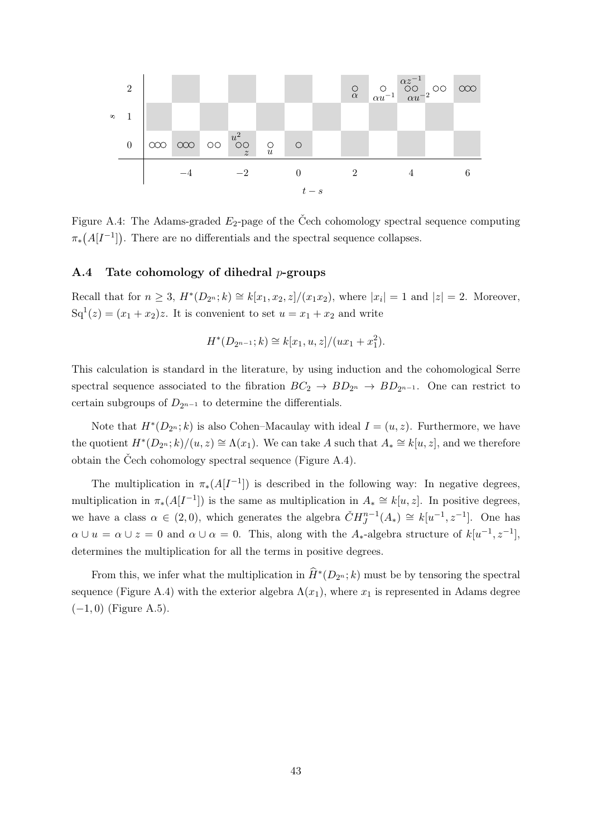

<span id="page-42-1"></span>Figure A.4: The Adams-graded  $E_2$ -page of the Cech cohomology spectral sequence computing  $\pi_*(A[I^{-1}])$ . There are no differentials and the spectral sequence collapses.

## <span id="page-42-0"></span>A.4 Tate cohomology of dihedral  $p$ -groups

Recall that for  $n \geq 3$ ,  $H^*(D_{2^n}; k) \cong k[x_1, x_2, z]/(x_1x_2)$ , where  $|x_i| = 1$  and  $|z| = 2$ . Moreover,  $Sq^{1}(z) = (x_{1} + x_{2})z$ . It is convenient to set  $u = x_{1} + x_{2}$  and write

$$
H^*(D_{2^{n-1}}; k) \cong k[x_1, u, z]/(ux_1 + x_1^2).
$$

This calculation is standard in the literature, by using induction and the cohomological Serre spectral sequence associated to the fibration  $BC_2 \rightarrow BD_{2^n} \rightarrow BD_{2^{n-1}}$ . One can restrict to certain subgroups of  $D_{2^{n-1}}$  to determine the differentials.

Note that  $H^*(D_{2^n}; k)$  is also Cohen–Macaulay with ideal  $I = (u, z)$ . Furthermore, we have the quotient  $H^*(D_{2^n}; k)/(u, z) \cong \Lambda(x_1)$ . We can take A such that  $A_* \cong k[u, z]$ , and we therefore obtain the Čech cohomology spectral sequence (Figure [A.4\)](#page-42-1).

The multiplication in  $\pi_*(A[I^{-1}])$  is described in the following way: In negative degrees, multiplication in  $\pi_*(A[I^{-1}])$  is the same as multiplication in  $A_* \cong k[u, z]$ . In positive degrees, we have a class  $\alpha \in (2,0)$ , which generates the algebra  $\check{C}H_J^{n-1}(A_*) \cong k[u^{-1},z^{-1}]$ . One has  $\alpha \cup u = \alpha \cup z = 0$  and  $\alpha \cup \alpha = 0$ . This, along with the A<sub>\*</sub>-algebra structure of  $k[u^{-1}, z^{-1}]$ , determines the multiplication for all the terms in positive degrees.

From this, we infer what the multiplication in  $\widehat{H}^*(D_{2^n}; k)$  must be by tensoring the spectral sequence (Figure [A.4\)](#page-42-1) with the exterior algebra  $\Lambda(x_1)$ , where  $x_1$  is represented in Adams degree  $(-1, 0)$  (Figure [A.5\)](#page-43-1).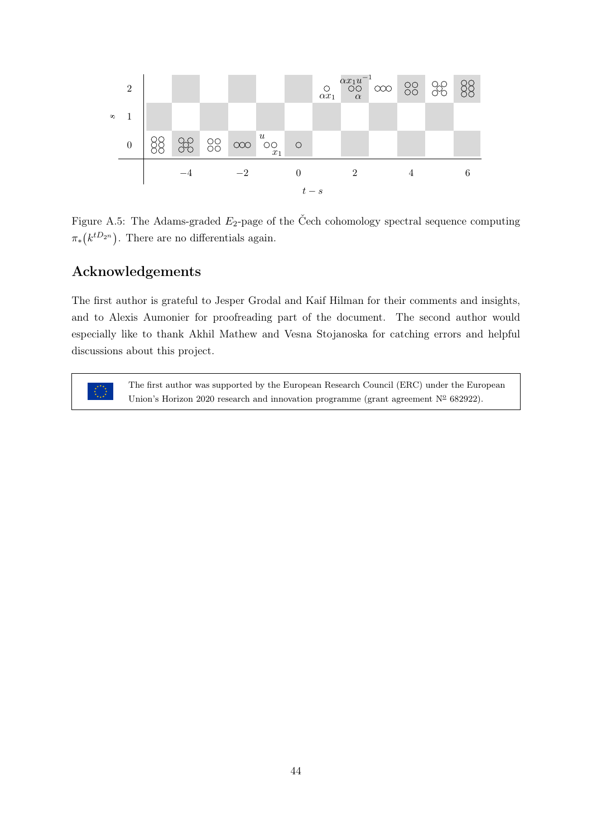

<span id="page-43-1"></span>Figure A.5: The Adams-graded  $E_2$ -page of the Čech cohomology spectral sequence computing  $\pi_*(k^{tD_{2^n}})$ . There are no differentials again.

# <span id="page-43-0"></span>Acknowledgements

The first author is grateful to Jesper Grodal and Kaif Hilman for their comments and insights, and to Alexis Aumonier for proofreading part of the document. The second author would especially like to thank Akhil Mathew and Vesna Stojanoska for catching errors and helpful discussions about this project.

> The first author was supported by the European Research Council (ERC) under the European Union's Horizon 2020 research and innovation programme (grant agreement  $N^{\circ}$  682922).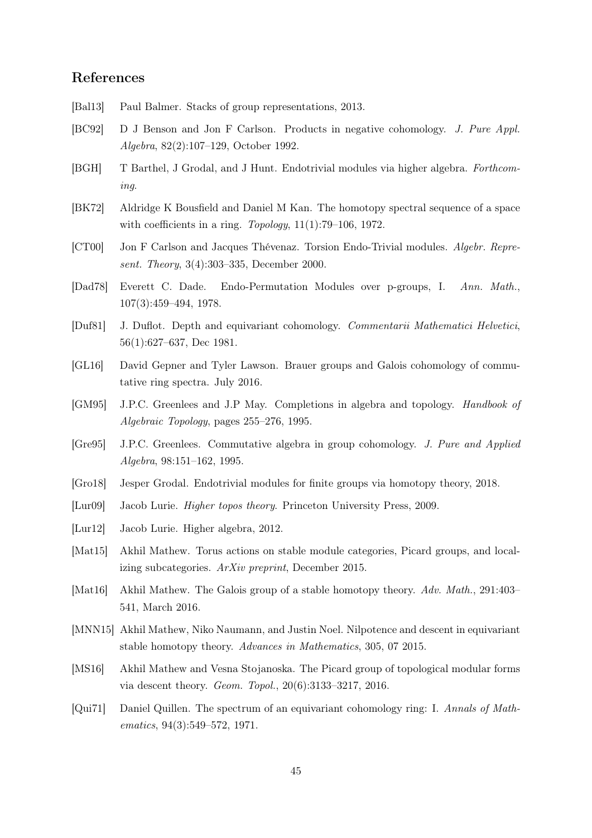# References

- <span id="page-44-9"></span>[Bal13] Paul Balmer. Stacks of group representations, 2013.
- <span id="page-44-14"></span>[BC92] D J Benson and Jon F Carlson. Products in negative cohomology. J. Pure Appl. Algebra, 82(2):107–129, October 1992.
- <span id="page-44-3"></span>[BGH] T Barthel, J Grodal, and J Hunt. Endotrivial modules via higher algebra. Forthcoming.
- <span id="page-44-6"></span>[BK72] Aldridge K Bousfield and Daniel M Kan. The homotopy spectral sequence of a space with coefficients in a ring. Topology,  $11(1):79-106$ , 1972.
- <span id="page-44-1"></span>[CT00] Jon F Carlson and Jacques Thévenaz. Torsion Endo-Trivial modules. Algebr. Represent. Theory, 3(4):303–335, December 2000.
- <span id="page-44-0"></span>[Dad78] Everett C. Dade. Endo-Permutation Modules over p-groups, I. Ann. Math., 107(3):459–494, 1978.
- <span id="page-44-15"></span>[Duf81] J. Duflot. Depth and equivariant cohomology. Commentarii Mathematici Helvetici, 56(1):627–637, Dec 1981.
- <span id="page-44-11"></span>[GL16] David Gepner and Tyler Lawson. Brauer groups and Galois cohomology of commutative ring spectra. July 2016.
- <span id="page-44-16"></span>[GM95] J.P.C. Greenlees and J.P May. Completions in algebra and topology. Handbook of Algebraic Topology, pages 255–276, 1995.
- <span id="page-44-17"></span>[Gre95] J.P.C. Greenlees. Commutative algebra in group cohomology. J. Pure and Applied Algebra, 98:151–162, 1995.
- <span id="page-44-2"></span>[Gro18] Jesper Grodal. Endotrivial modules for finite groups via homotopy theory, 2018.
- <span id="page-44-4"></span>[Lur09] Jacob Lurie. Higher topos theory. Princeton University Press, 2009.
- <span id="page-44-7"></span>[Lur12] Jacob Lurie. Higher algebra, 2012.
- <span id="page-44-12"></span>[Mat15] Akhil Mathew. Torus actions on stable module categories, Picard groups, and localizing subcategories. ArXiv preprint, December 2015.
- <span id="page-44-8"></span>[Mat16] Akhil Mathew. The Galois group of a stable homotopy theory. Adv. Math., 291:403– 541, March 2016.
- <span id="page-44-10"></span>[MNN15] Akhil Mathew, Niko Naumann, and Justin Noel. Nilpotence and descent in equivariant stable homotopy theory. Advances in Mathematics, 305, 07 2015.
- <span id="page-44-5"></span>[MS16] Akhil Mathew and Vesna Stojanoska. The Picard group of topological modular forms via descent theory. Geom. Topol., 20(6):3133–3217, 2016.
- <span id="page-44-13"></span>[Qui71] Daniel Quillen. The spectrum of an equivariant cohomology ring: I. Annals of Mathematics, 94(3):549–572, 1971.